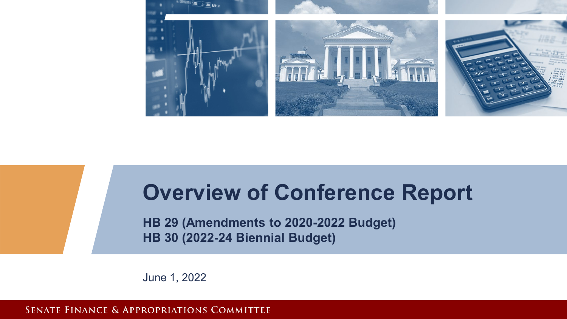

### **Overview of Conference Report**

**HB 29 (Amendments to 2020-2022 Budget) HB 30 (2022-24 Biennial Budget)**

June 1, 2022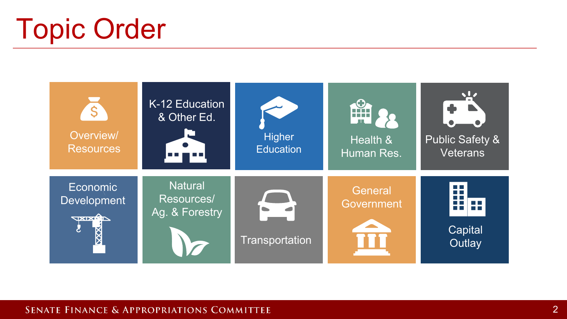# Topic Order

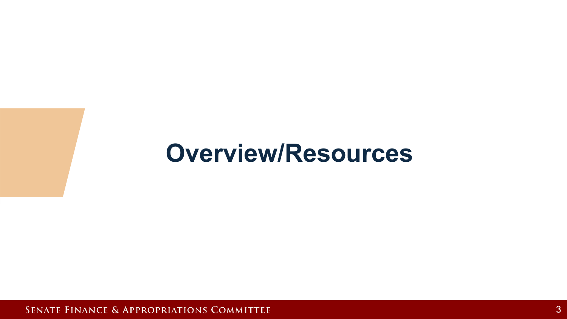## **Overview/Resources**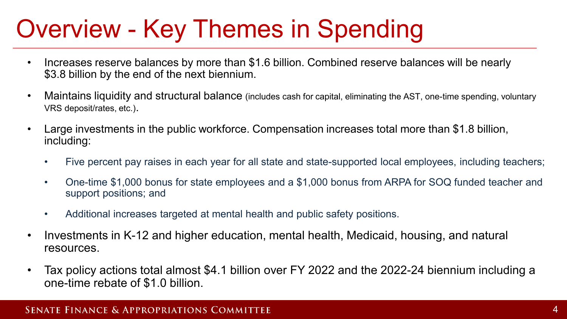# Overview - Key Themes in Spending

- Increases reserve balances by more than \$1.6 billion. Combined reserve balances will be nearly \$3.8 billion by the end of the next biennium.
- Maintains liquidity and structural balance (includes cash for capital, eliminating the AST, one-time spending, voluntary VRS deposit/rates, etc.).
- Large investments in the public workforce. Compensation increases total more than \$1.8 billion, including:
	- Five percent pay raises in each year for all state and state-supported local employees, including teachers;
	- One-time \$1,000 bonus for state employees and a \$1,000 bonus from ARPA for SOQ funded teacher and support positions; and
	- Additional increases targeted at mental health and public safety positions.
- Investments in K-12 and higher education, mental health, Medicaid, housing, and natural resources.
- Tax policy actions total almost \$4.1 billion over FY 2022 and the 2022-24 biennium including a one-time rebate of \$1.0 billion.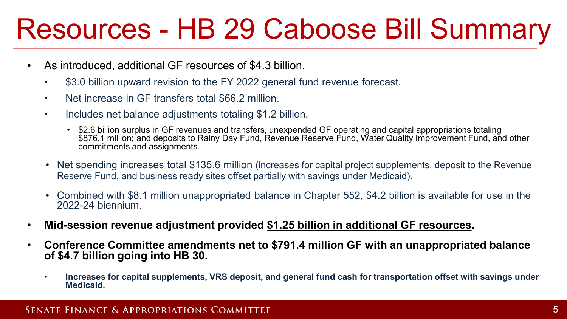# Resources - HB 29 Caboose Bill Summary

- As introduced, additional GF resources of \$4.3 billion.
	- \$3.0 billion upward revision to the FY 2022 general fund revenue forecast.
	- Net increase in GF transfers total \$66.2 million.
	- Includes net balance adjustments totaling \$1.2 billion.
		- \$2.6 billion surplus in GF revenues and transfers, unexpended GF operating and capital appropriations totaling \$876.1 million; and deposits to Rainy Day Fund, Revenue Reserve Fund, Water Quality Improvement Fund, and other commitments and assignments.
	- Net spending increases total \$135.6 million (increases for capital project supplements, deposit to the Revenue Reserve Fund, and business ready sites offset partially with savings under Medicaid).
	- Combined with \$8.1 million unappropriated balance in Chapter 552, \$4.2 billion is available for use in the 2022-24 biennium.
- **Mid-session revenue adjustment provided \$1.25 billion in additional GF resources.**
- **Conference Committee amendments net to \$791.4 million GF with an unappropriated balance of \$4.7 billion going into HB 30.**
	- **Increases for capital supplements, VRS deposit, and general fund cash for transportation offset with savings under Medicaid.**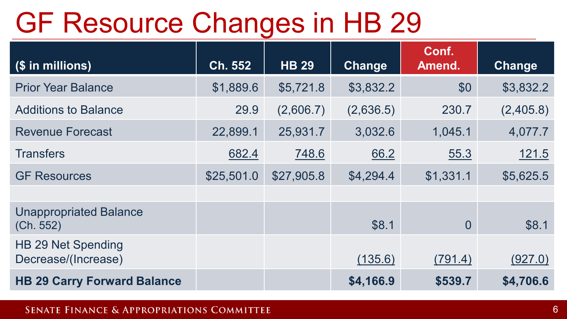# GF Resource Changes in HB 29

| (\$ in millions)                           | Ch. 552    | <b>HB 29</b> | Change    | Conf.<br>Amend. | Change    |
|--------------------------------------------|------------|--------------|-----------|-----------------|-----------|
| <b>Prior Year Balance</b>                  | \$1,889.6  | \$5,721.8    | \$3,832.2 | \$0             | \$3,832.2 |
| <b>Additions to Balance</b>                | 29.9       | (2,606.7)    | (2,636.5) | 230.7           | (2,405.8) |
| <b>Revenue Forecast</b>                    | 22,899.1   | 25,931.7     | 3,032.6   | 1,045.1         | 4,077.7   |
| <b>Transfers</b>                           | 682.4      | 748.6        | 66.2      | 55.3            | 121.5     |
| <b>GF Resources</b>                        | \$25,501.0 | \$27,905.8   | \$4,294.4 | \$1,331.1       | \$5,625.5 |
|                                            |            |              |           |                 |           |
| <b>Unappropriated Balance</b><br>(Ch. 552) |            |              | \$8.1     | $\overline{0}$  | \$8.1     |
| HB 29 Net Spending<br>Decrease/(Increase)  |            |              | (135.6)   | (791.4)         | (927.0)   |
| <b>HB 29 Carry Forward Balance</b>         |            |              | \$4,166.9 | \$539.7         | \$4,706.6 |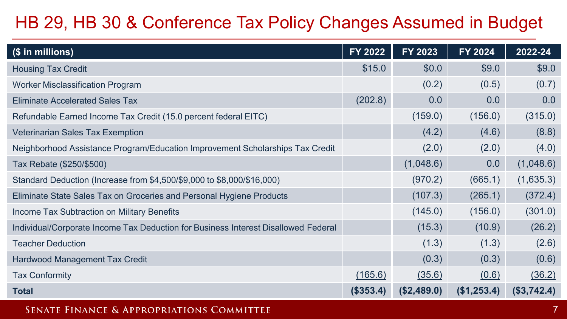### HB 29, HB 30 & Conference Tax Policy Changes Assumed in Budget

| (\$ in millions)                                                                   | FY 2022   | FY 2023     | FY 2024     | 2022-24     |
|------------------------------------------------------------------------------------|-----------|-------------|-------------|-------------|
| <b>Housing Tax Credit</b>                                                          | \$15.0    | \$0.0       | \$9.0       | \$9.0       |
| <b>Worker Misclassification Program</b>                                            |           | (0.2)       | (0.5)       | (0.7)       |
| <b>Eliminate Accelerated Sales Tax</b>                                             | (202.8)   | 0.0         | 0.0         | 0.0         |
| Refundable Earned Income Tax Credit (15.0 percent federal EITC)                    |           | (159.0)     | (156.0)     | (315.0)     |
| <b>Veterinarian Sales Tax Exemption</b>                                            |           | (4.2)       | (4.6)       | (8.8)       |
| Neighborhood Assistance Program/Education Improvement Scholarships Tax Credit      |           | (2.0)       | (2.0)       | (4.0)       |
| Tax Rebate (\$250/\$500)                                                           |           | (1,048.6)   | 0.0         | (1,048.6)   |
| Standard Deduction (Increase from \$4,500/\$9,000 to \$8,000/\$16,000)             |           | (970.2)     | (665.1)     | (1,635.3)   |
| Eliminate State Sales Tax on Groceries and Personal Hygiene Products               |           | (107.3)     | (265.1)     | (372.4)     |
| Income Tax Subtraction on Military Benefits                                        |           | (145.0)     | (156.0)     | (301.0)     |
| Individual/Corporate Income Tax Deduction for Business Interest Disallowed Federal |           | (15.3)      | (10.9)      | (26.2)      |
| <b>Teacher Deduction</b>                                                           |           | (1.3)       | (1.3)       | (2.6)       |
| <b>Hardwood Management Tax Credit</b>                                              |           | (0.3)       | (0.3)       | (0.6)       |
| <b>Tax Conformity</b>                                                              | (165.6)   | (35.6)      | (0.6)       | (36.2)      |
| <b>Total</b>                                                                       | (\$353.4) | (\$2,489.0) | (\$1,253.4) | (\$3,742.4) |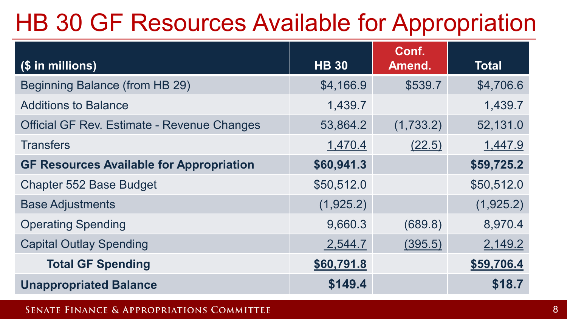## HB 30 GF Resources Available for Appropriation

| (\$ in millions)                                   | <b>HB 30</b> | Conf.<br>Amend. | <b>Total</b> |
|----------------------------------------------------|--------------|-----------------|--------------|
| Beginning Balance (from HB 29)                     | \$4,166.9    | \$539.7         | \$4,706.6    |
| <b>Additions to Balance</b>                        | 1,439.7      |                 | 1,439.7      |
| <b>Official GF Rev. Estimate - Revenue Changes</b> | 53,864.2     | (1,733.2)       | 52,131.0     |
| <b>Transfers</b>                                   | 1,470.4      | (22.5)          | 1,447.9      |
| <b>GF Resources Available for Appropriation</b>    | \$60,941.3   |                 | \$59,725.2   |
| <b>Chapter 552 Base Budget</b>                     | \$50,512.0   |                 | \$50,512.0   |
| <b>Base Adjustments</b>                            | (1,925.2)    |                 | (1,925.2)    |
| <b>Operating Spending</b>                          | 9,660.3      | (689.8)         | 8,970.4      |
| <b>Capital Outlay Spending</b>                     | 2,544.7      | (395.5)         | 2,149.2      |
| <b>Total GF Spending</b>                           | \$60,791.8   |                 | \$59,706.4   |
| <b>Unappropriated Balance</b>                      | \$149.4      |                 | \$18.7       |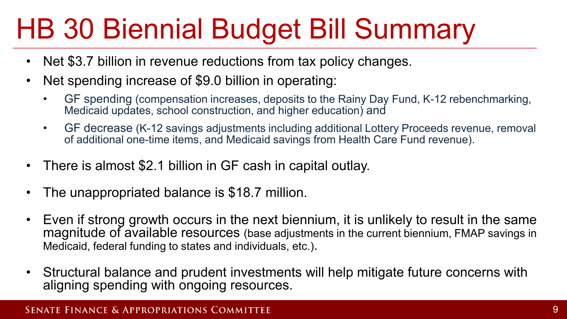# HB 30 Biennial Budget Bill Summary

- Net \$3.7 billion in revenue reductions from tax policy changes.
- Net spending increase of \$9.0 billion in operating:
	- GF spending (compensation increases, deposits to the Rainy Day Fund, K-12 rebenchmarking, Medicaid updates, school construction, and higher education) and
	- GF decrease (K-12 savings adjustments including additional Lottery Proceeds revenue, removal of additional one-time items, and Medicaid savings from Health Care Fund revenue).
- There is almost \$2.1 billion in GF cash in capital outlay.
- The unappropriated balance is \$18.7 million.
- Even if strong growth occurs in the next biennium, it is unlikely to result in the same magnitude of available resources (base adjustments in the current biennium, FMAP savings in Medicaid, federal funding to states and individuals, etc.).
- Structural balance and prudent investments will help mitigate future concerns with aligning spending with ongoing resources.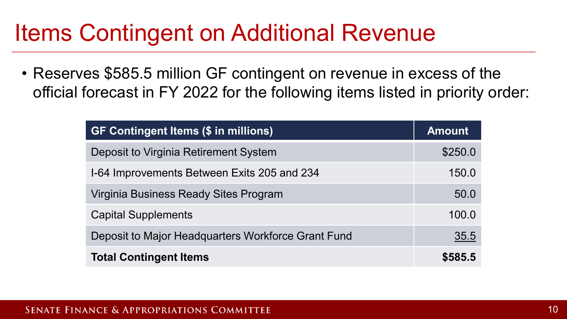## Items Contingent on Additional Revenue

• Reserves \$585.5 million GF contingent on revenue in excess of the official forecast in FY 2022 for the following items listed in priority order:

| <b>GF Contingent Items (\$ in millions)</b>        | <b>Amount</b> |
|----------------------------------------------------|---------------|
| Deposit to Virginia Retirement System              | \$250.0       |
| 1-64 Improvements Between Exits 205 and 234        | 150.0         |
| Virginia Business Ready Sites Program              | 50.0          |
| <b>Capital Supplements</b>                         | 100.0         |
| Deposit to Major Headquarters Workforce Grant Fund | 35.5          |
| <b>Total Contingent Items</b>                      | \$585.5       |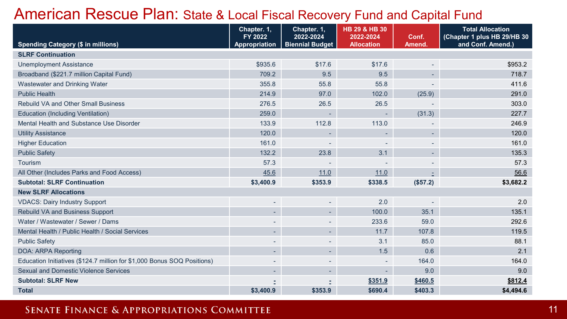### American Rescue Plan: State & Local Fiscal Recovery Fund and Capital Fund

|                                                                         | Chapter. 1.<br>FY 2022   | Chapter. 1.<br>2022-2024 | HB 29 & HB 30<br>2022-2024 | Conf.                    | <b>Total Allocation</b><br>(Chapter 1 plus HB 29/HB 30 |
|-------------------------------------------------------------------------|--------------------------|--------------------------|----------------------------|--------------------------|--------------------------------------------------------|
| <b>Spending Category (\$ in millions)</b>                               | <b>Appropriation</b>     | <b>Biennial Budget</b>   | <b>Allocation</b>          | Amend.                   | and Conf. Amend.)                                      |
| <b>SLRF Continuation</b>                                                |                          |                          |                            |                          |                                                        |
| <b>Unemployment Assistance</b>                                          | \$935.6                  | \$17.6                   | \$17.6                     | $\overline{\phantom{a}}$ | \$953.2                                                |
| Broadband (\$221.7 million Capital Fund)                                | 709.2                    | 9.5                      | 9.5                        | $\sim$                   | 718.7                                                  |
| Wastewater and Drinking Water                                           | 355.8                    | 55.8                     | 55.8                       |                          | 411.6                                                  |
| <b>Public Health</b>                                                    | 214.9                    | 97.0                     | 102.0                      | (25.9)                   | 291.0                                                  |
| <b>Rebuild VA and Other Small Business</b>                              | 276.5                    | 26.5                     | 26.5                       |                          | 303.0                                                  |
| <b>Education (Including Ventilation)</b>                                | 259.0                    |                          | ٠                          | (31.3)                   | 227.7                                                  |
| Mental Health and Substance Use Disorder                                | 133.9                    | 112.8                    | 113.0                      |                          | 246.9                                                  |
| <b>Utility Assistance</b>                                               | 120.0                    |                          | ٠.                         | $\overline{\phantom{a}}$ | 120.0                                                  |
| <b>Higher Education</b>                                                 | 161.0                    |                          |                            |                          | 161.0                                                  |
| <b>Public Safety</b>                                                    | 132.2                    | 23.8                     | 3.1                        | $\sim$                   | 135.3                                                  |
| Tourism                                                                 | 57.3                     |                          |                            |                          | 57.3                                                   |
| All Other (Includes Parks and Food Access)                              | 45.6                     | 11.0                     | 11.0                       |                          | 56.6                                                   |
| <b>Subtotal: SLRF Continuation</b>                                      | \$3,400.9                | \$353.9                  | \$338.5                    | (\$57.2)                 | \$3,682.2                                              |
| <b>New SLRF Allocations</b>                                             |                          |                          |                            |                          |                                                        |
| <b>VDACS: Dairy Industry Support</b>                                    | $\overline{a}$           | $\overline{\phantom{0}}$ | 2.0                        |                          | 2.0                                                    |
| Rebuild VA and Business Support                                         | ٠                        | $\sim$                   | 100.0                      | 35.1                     | 135.1                                                  |
| Water / Wastewater / Sewer / Dams                                       |                          |                          | 233.6                      | 59.0                     | 292.6                                                  |
| Mental Health / Public Health / Social Services                         | ٠                        | ٠                        | 11.7                       | 107.8                    | 119.5                                                  |
| <b>Public Safety</b>                                                    |                          |                          | 3.1                        | 85.0                     | 88.1                                                   |
| DOA: ARPA Reporting                                                     | $\overline{\phantom{0}}$ | $\overline{\phantom{0}}$ | 1.5                        | 0.6                      | 2.1                                                    |
| Education Initiatives (\$124.7 million for \$1,000 Bonus SOQ Positions) | $\overline{\phantom{0}}$ | ٠                        |                            | 164.0                    | 164.0                                                  |
| <b>Sexual and Domestic Violence Services</b>                            | ٠                        | ٠                        |                            | 9.0                      | 9.0                                                    |
| <b>Subtotal: SLRF New</b>                                               |                          |                          | \$351.9                    | \$460.5                  | \$812.4                                                |
| <b>Total</b>                                                            | \$3,400.9                | \$353.9                  | \$690.4                    | \$403.3                  | \$4,494.6                                              |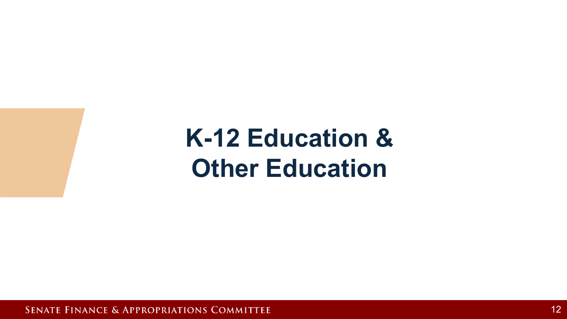**K-12 Education & Other Education**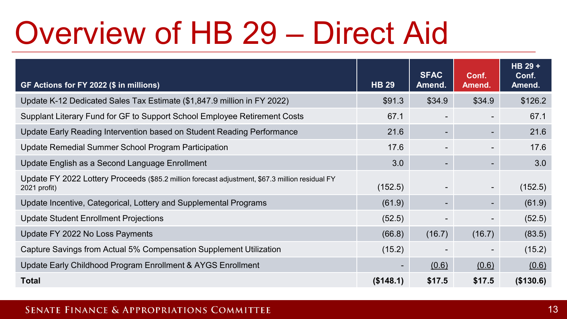# Overview of HB 29 – Direct Aid

| GF Actions for FY 2022 (\$ in millions)                                                                         | <b>HB 29</b> | <b>SFAC</b><br>Amend.    | Conf.<br>Amend.          | HB 29 +<br>Conf.<br>Amend. |
|-----------------------------------------------------------------------------------------------------------------|--------------|--------------------------|--------------------------|----------------------------|
| Update K-12 Dedicated Sales Tax Estimate (\$1,847.9 million in FY 2022)                                         | \$91.3       | \$34.9                   | \$34.9                   | \$126.2                    |
| Supplant Literary Fund for GF to Support School Employee Retirement Costs                                       | 67.1         | $\overline{\phantom{a}}$ |                          | 67.1                       |
| Update Early Reading Intervention based on Student Reading Performance                                          | 21.6         | $\blacksquare$           | $\overline{\phantom{a}}$ | 21.6                       |
| Update Remedial Summer School Program Participation                                                             | 17.6         | $\overline{\phantom{a}}$ | $\overline{\phantom{a}}$ | 17.6                       |
| Update English as a Second Language Enrollment                                                                  | 3.0          | $\overline{\phantom{a}}$ | $\overline{\phantom{a}}$ | 3.0                        |
| Update FY 2022 Lottery Proceeds (\$85.2 million forecast adjustment, \$67.3 million residual FY<br>2021 profit) | (152.5)      | $\overline{\phantom{a}}$ | $\overline{\phantom{a}}$ | (152.5)                    |
| Update Incentive, Categorical, Lottery and Supplemental Programs                                                | (61.9)       | $\overline{\phantom{a}}$ | $\overline{\phantom{a}}$ | (61.9)                     |
| Update Student Enrollment Projections                                                                           | (52.5)       |                          | $\overline{\phantom{a}}$ | (52.5)                     |
| Update FY 2022 No Loss Payments                                                                                 | (66.8)       | (16.7)                   | (16.7)                   | (83.5)                     |
| Capture Savings from Actual 5% Compensation Supplement Utilization                                              | (15.2)       |                          | $\overline{\phantom{a}}$ | (15.2)                     |
| Update Early Childhood Program Enrollment & AYGS Enrollment                                                     |              | (0.6)                    | (0.6)                    | (0.6)                      |
| <b>Total</b>                                                                                                    | (\$148.1)    | \$17.5                   | \$17.5                   | (\$130.6)                  |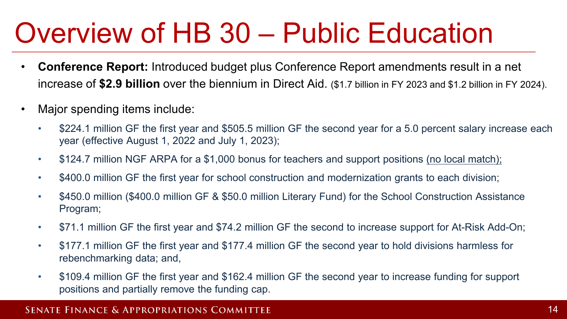# Overview of HB 30 – Public Education

- **Conference Report:** Introduced budget plus Conference Report amendments result in a net increase of **\$2.9 billion** over the biennium in Direct Aid. (\$1.7 billion in FY 2023 and \$1.2 billion in FY 2024).
- Major spending items include:
	- \$224.1 million GF the first year and \$505.5 million GF the second year for a 5.0 percent salary increase each year (effective August 1, 2022 and July 1, 2023);
	- \$124.7 million NGF ARPA for a \$1,000 bonus for teachers and support positions (no local match);
	- \$400.0 million GF the first year for school construction and modernization grants to each division;
	- \$450.0 million (\$400.0 million GF & \$50.0 million Literary Fund) for the School Construction Assistance Program;
	- \$71.1 million GF the first year and \$74.2 million GF the second to increase support for At-Risk Add-On;
	- \$177.1 million GF the first year and \$177.4 million GF the second year to hold divisions harmless for rebenchmarking data; and,
	- \$109.4 million GF the first year and \$162.4 million GF the second year to increase funding for support positions and partially remove the funding cap.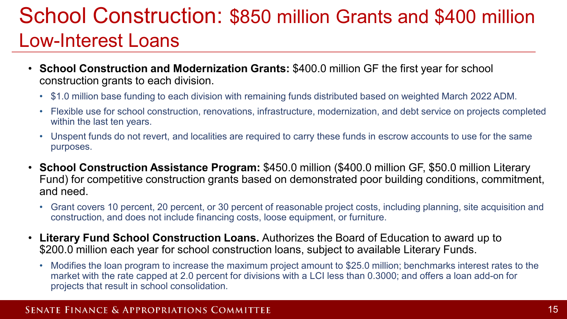### School Construction: \$850 million Grants and \$400 million Low-Interest Loans

- **School Construction and Modernization Grants:** \$400.0 million GF the first year for school construction grants to each division.
	- \$1.0 million base funding to each division with remaining funds distributed based on weighted March 2022 ADM.
	- Flexible use for school construction, renovations, infrastructure, modernization, and debt service on projects completed within the last ten years.
	- Unspent funds do not revert, and localities are required to carry these funds in escrow accounts to use for the same purposes.
- **School Construction Assistance Program:** \$450.0 million (\$400.0 million GF, \$50.0 million Literary Fund) for competitive construction grants based on demonstrated poor building conditions, commitment, and need.
	- Grant covers 10 percent, 20 percent, or 30 percent of reasonable project costs, including planning, site acquisition and construction, and does not include financing costs, loose equipment, or furniture.
- **Literary Fund School Construction Loans.** Authorizes the Board of Education to award up to \$200.0 million each year for school construction loans, subject to available Literary Funds.
	- Modifies the loan program to increase the maximum project amount to \$25.0 million; benchmarks interest rates to the market with the rate capped at 2.0 percent for divisions with a LCI less than 0.3000; and offers a loan add-on for projects that result in school consolidation.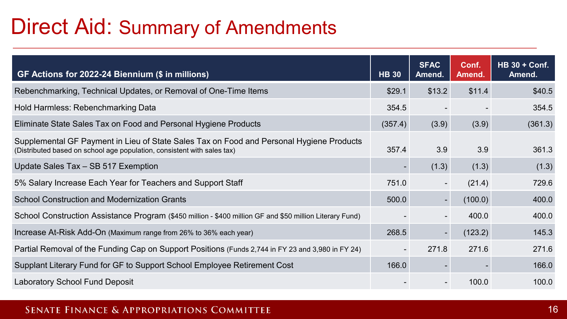### Direct Aid: Summary of Amendments

| GF Actions for 2022-24 Biennium (\$ in millions)                                                                                                                    | <b>HB 30</b>   | <b>SFAC</b><br>Amend.    | Conf.<br>Amend. | $HB 30 + Cont.$<br>Amend. |
|---------------------------------------------------------------------------------------------------------------------------------------------------------------------|----------------|--------------------------|-----------------|---------------------------|
| Rebenchmarking, Technical Updates, or Removal of One-Time Items                                                                                                     | \$29.1         | \$13.2                   | \$11.4          | \$40.5                    |
| Hold Harmless: Rebenchmarking Data                                                                                                                                  | 354.5          |                          |                 | 354.5                     |
| Eliminate State Sales Tax on Food and Personal Hygiene Products                                                                                                     | (357.4)        | (3.9)                    | (3.9)           | (361.3)                   |
| Supplemental GF Payment in Lieu of State Sales Tax on Food and Personal Hygiene Products<br>(Distributed based on school age population, consistent with sales tax) | 357.4          | 3.9                      | 3.9             | 361.3                     |
| Update Sales Tax - SB 517 Exemption                                                                                                                                 |                | (1.3)                    | (1.3)           | (1.3)                     |
| 5% Salary Increase Each Year for Teachers and Support Staff                                                                                                         | 751.0          | $\overline{\phantom{0}}$ | (21.4)          | 729.6                     |
| <b>School Construction and Modernization Grants</b>                                                                                                                 | 500.0          |                          | (100.0)         | 400.0                     |
| School Construction Assistance Program (\$450 million - \$400 million GF and \$50 million Literary Fund)                                                            |                |                          | 400.0           | 400.0                     |
| Increase At-Risk Add-On (Maximum range from 26% to 36% each year)                                                                                                   | 268.5          |                          | (123.2)         | 145.3                     |
| Partial Removal of the Funding Cap on Support Positions (Funds 2,744 in FY 23 and 3,980 in FY 24)                                                                   | $\blacksquare$ | 271.8                    | 271.6           | 271.6                     |
| Supplant Literary Fund for GF to Support School Employee Retirement Cost                                                                                            | 166.0          |                          |                 | 166.0                     |
| Laboratory School Fund Deposit                                                                                                                                      |                |                          | 100.0           | 100.0                     |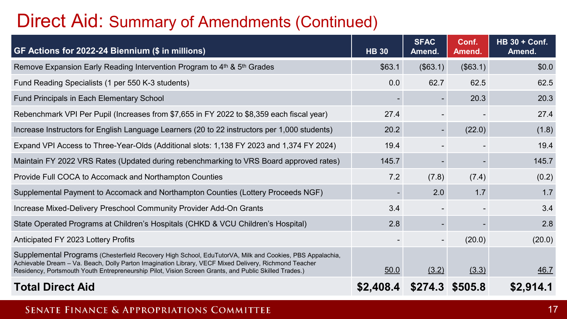### Direct Aid: Summary of Amendments (Continued)

| GF Actions for 2022-24 Biennium (\$ in millions)                                                                                                                                                                                                                                                                          | <b>HB 30</b> | <b>SFAC</b><br>Amend. | Conf.<br>Amend. | <b>HB 30 + Conf.</b><br>Amend. |
|---------------------------------------------------------------------------------------------------------------------------------------------------------------------------------------------------------------------------------------------------------------------------------------------------------------------------|--------------|-----------------------|-----------------|--------------------------------|
| Remove Expansion Early Reading Intervention Program to 4th & 5th Grades                                                                                                                                                                                                                                                   | \$63.1       | (\$63.1)              | (\$63.1)        | \$0.0                          |
| Fund Reading Specialists (1 per 550 K-3 students)                                                                                                                                                                                                                                                                         | 0.0          | 62.7                  | 62.5            | 62.5                           |
| Fund Principals in Each Elementary School                                                                                                                                                                                                                                                                                 |              |                       | 20.3            | 20.3                           |
| Rebenchmark VPI Per Pupil (Increases from \$7,655 in FY 2022 to \$8,359 each fiscal year)                                                                                                                                                                                                                                 | 27.4         |                       |                 | 27.4                           |
| Increase Instructors for English Language Learners (20 to 22 instructors per 1,000 students)                                                                                                                                                                                                                              | 20.2         | $\blacksquare$        | (22.0)          | (1.8)                          |
| Expand VPI Access to Three-Year-Olds (Additional slots: 1,138 FY 2023 and 1,374 FY 2024)                                                                                                                                                                                                                                  | 19.4         |                       |                 | 19.4                           |
| Maintain FY 2022 VRS Rates (Updated during rebenchmarking to VRS Board approved rates)                                                                                                                                                                                                                                    | 145.7        |                       |                 | 145.7                          |
| Provide Full COCA to Accomack and Northampton Counties                                                                                                                                                                                                                                                                    | 7.2          | (7.8)                 | (7.4)           | (0.2)                          |
| Supplemental Payment to Accomack and Northampton Counties (Lottery Proceeds NGF)                                                                                                                                                                                                                                          |              | 2.0                   | 1.7             | 1.7                            |
| Increase Mixed-Delivery Preschool Community Provider Add-On Grants                                                                                                                                                                                                                                                        | 3.4          |                       |                 | 3.4                            |
| State Operated Programs at Children's Hospitals (CHKD & VCU Children's Hospital)                                                                                                                                                                                                                                          | 2.8          | ۰.                    |                 | 2.8                            |
| Anticipated FY 2023 Lottery Profits                                                                                                                                                                                                                                                                                       |              |                       | (20.0)          | (20.0)                         |
| Supplemental Programs (Chesterfield Recovery High School, EduTutorVA, Milk and Cookies, PBS Appalachia,<br>Achievable Dream - Va. Beach, Dolly Parton Imagination Library, VECF Mixed Delivery, Richmond Teacher<br>Residency, Portsmouth Youth Entrepreneurship Pilot, Vision Screen Grants, and Public Skilled Trades.) | 50.0         | (3.2)                 | (3.3)           | 46.7                           |
| <b>Total Direct Aid</b>                                                                                                                                                                                                                                                                                                   | \$2,408.4    | \$274.3 \$505.8       |                 | \$2,914.1                      |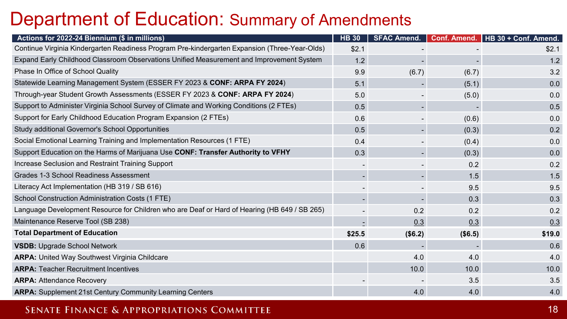### Department of Education: Summary of Amendments

| Actions for 2022-24 Biennium (\$ in millions)                                                 | <b>HB 30</b> |         |         | SFAC Amend.   Conf. Amend.   HB 30 + Conf. Amend. |
|-----------------------------------------------------------------------------------------------|--------------|---------|---------|---------------------------------------------------|
| Continue Virginia Kindergarten Readiness Program Pre-kindergarten Expansion (Three-Year-Olds) | \$2.1        |         |         | \$2.1                                             |
| Expand Early Childhood Classroom Observations Unified Measurement and Improvement System      | 1.2          |         |         | 1.2                                               |
| Phase In Office of School Quality                                                             | 9.9          | (6.7)   | (6.7)   | 3.2                                               |
| Statewide Learning Management System (ESSER FY 2023 & CONF: ARPA FY 2024)                     | 5.1          |         | (5.1)   | 0.0                                               |
| Through-year Student Growth Assessments (ESSER FY 2023 & CONF: ARPA FY 2024)                  | 5.0          |         | (5.0)   | 0.0                                               |
| Support to Administer Virginia School Survey of Climate and Working Conditions (2 FTEs)       | 0.5          |         |         | 0.5                                               |
| Support for Early Childhood Education Program Expansion (2 FTEs)                              | 0.6          |         | (0.6)   | 0.0                                               |
| Study additional Governor's School Opportunities                                              | 0.5          |         | (0.3)   | 0.2                                               |
| Social Emotional Learning Training and Implementation Resources (1 FTE)                       | 0.4          |         | (0.4)   | 0.0                                               |
| Support Education on the Harms of Marijuana Use CONF: Transfer Authority to VFHY              | 0.3          |         | (0.3)   | 0.0                                               |
| Increase Seclusion and Restraint Training Support                                             |              |         | 0.2     | 0.2                                               |
| Grades 1-3 School Readiness Assessment                                                        |              |         | 1.5     | 1.5                                               |
| Literacy Act Implementation (HB 319 / SB 616)                                                 |              |         | 9.5     | 9.5                                               |
| School Construction Administration Costs (1 FTE)                                              |              |         | 0.3     | 0.3                                               |
| Language Development Resource for Children who are Deaf or Hard of Hearing (HB 649 / SB 265)  |              | 0.2     | 0.2     | 0.2                                               |
| Maintenance Reserve Tool (SB 238)                                                             |              | 0.3     | 0.3     | 0.3                                               |
| <b>Total Department of Education</b>                                                          | \$25.5       | (\$6.2) | (\$6.5) | \$19.0                                            |
| <b>VSDB: Upgrade School Network</b>                                                           | 0.6          |         |         | 0.6                                               |
| <b>ARPA:</b> United Way Southwest Virginia Childcare                                          |              | 4.0     | 4.0     | 4.0                                               |
| <b>ARPA: Teacher Recruitment Incentives</b>                                                   |              | 10.0    | 10.0    | 10.0                                              |
| <b>ARPA: Attendance Recovery</b>                                                              |              |         | 3.5     | 3.5                                               |
| <b>ARPA:</b> Supplement 21st Century Community Learning Centers                               |              | 4.0     | 4.0     | 4.0                                               |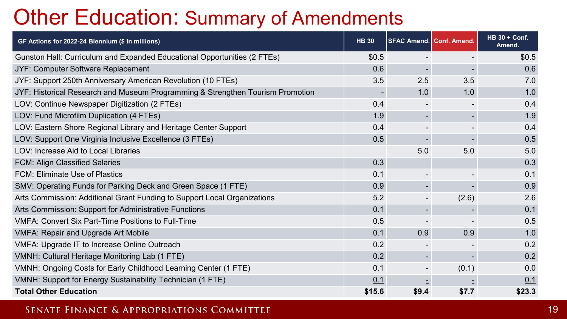## Other Education: Summary of Amendments

| GF Actions for 2022-24 Biennium (\$ in millions)                               | <b>HB 30</b>             | <b>SFAC Amend. Conf. Amend.</b> |                          | <b>HB 30 + Conf.</b><br>Amend. |
|--------------------------------------------------------------------------------|--------------------------|---------------------------------|--------------------------|--------------------------------|
| Gunston Hall: Curriculum and Expanded Educational Opportunities (2 FTEs)       | \$0.5                    |                                 |                          | \$0.5                          |
| JYF: Computer Software Replacement                                             | 0.6                      |                                 |                          | 0.6                            |
| JYF: Support 250th Anniversary American Revolution (10 FTEs)                   | 3.5                      | 2.5                             | 3.5                      | 7.0                            |
| JYF: Historical Research and Museum Programming & Strengthen Tourism Promotion | $\overline{\phantom{0}}$ | 1.0                             | 1.0                      | 1.0                            |
| LOV: Continue Newspaper Digitization (2 FTEs)                                  | 0.4                      |                                 | $\overline{\phantom{a}}$ | 0.4                            |
| LOV: Fund Microfilm Duplication (4 FTEs)                                       | 1.9                      |                                 |                          | 1.9                            |
| LOV: Eastern Shore Regional Library and Heritage Center Support                | 0.4                      |                                 |                          | 0.4                            |
| LOV: Support One Virginia Inclusive Excellence (3 FTEs)                        | 0.5                      |                                 |                          | 0.5                            |
| LOV: Increase Aid to Local Libraries                                           |                          | 5.0                             | 5.0                      | 5.0                            |
| FCM: Align Classified Salaries                                                 | 0.3                      |                                 |                          | 0.3                            |
| <b>FCM: Eliminate Use of Plastics</b>                                          | 0.1                      |                                 |                          | 0.1                            |
| SMV: Operating Funds for Parking Deck and Green Space (1 FTE)                  | 0.9                      |                                 |                          | 0.9                            |
| Arts Commission: Additional Grant Funding to Support Local Organizations       | 5.2                      |                                 | (2.6)                    | 2.6                            |
| Arts Commission: Support for Administrative Functions                          | 0.1                      |                                 |                          | 0.1                            |
| <b>VMFA: Convert Six Part-Time Positions to Full-Time</b>                      | 0.5                      |                                 |                          | 0.5                            |
| <b>VMFA: Repair and Upgrade Art Mobile</b>                                     | 0.1                      | 0.9                             | 0.9                      | 1.0                            |
| VMFA: Upgrade IT to Increase Online Outreach                                   | 0.2                      |                                 |                          | 0.2                            |
| VMNH: Cultural Heritage Monitoring Lab (1 FTE)                                 | 0.2                      |                                 |                          | 0.2                            |
| VMNH: Ongoing Costs for Early Childhood Learning Center (1 FTE)                | 0.1                      |                                 | (0.1)                    | 0.0                            |
| VMNH: Support for Energy Sustainability Technician (1 FTE)                     | 0.1                      |                                 |                          | 0.1                            |
| <b>Total Other Education</b>                                                   | \$15.6                   | \$9.4                           | \$7.7                    | \$23.3                         |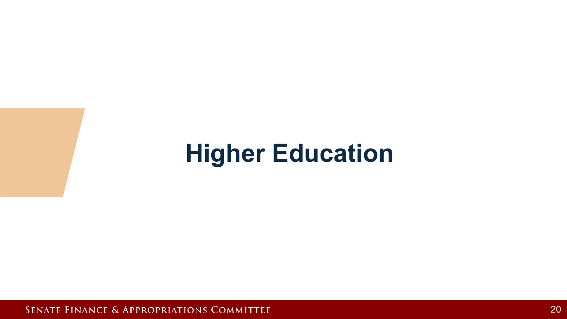## **Higher Education**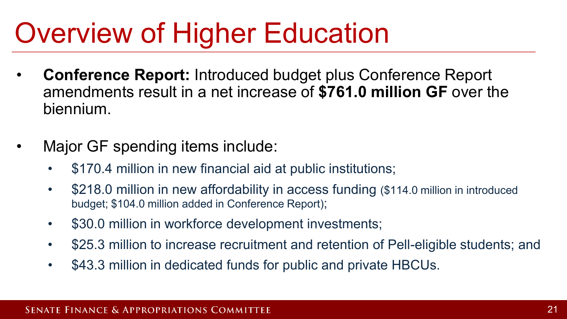# Overview of Higher Education

- **Conference Report:** Introduced budget plus Conference Report amendments result in a net increase of **\$761.0 million GF** over the biennium.
- Major GF spending items include:
	- \$170.4 million in new financial aid at public institutions;
	- \$218.0 million in new affordability in access funding (\$114.0 million in introduced budget; \$104.0 million added in Conference Report);
	- \$30.0 million in workforce development investments;
	- \$25.3 million to increase recruitment and retention of Pell-eligible students; and
	- \$43.3 million in dedicated funds for public and private HBCUs.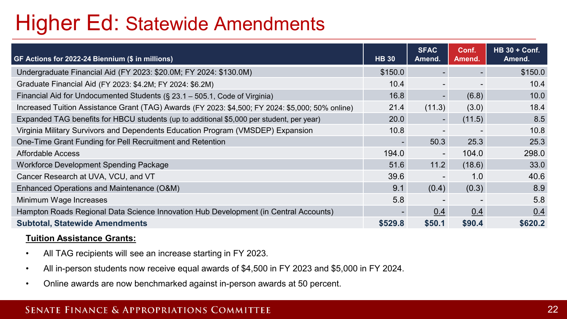### Higher Ed: Statewide Amendments

| GF Actions for 2022-24 Biennium (\$ in millions)                                                 | <b>HB 30</b>             | <b>SFAC</b><br>Amend.    | Conf.<br>Amend.          | <b>HB 30 + Conf.</b><br>Amend. |
|--------------------------------------------------------------------------------------------------|--------------------------|--------------------------|--------------------------|--------------------------------|
| Undergraduate Financial Aid (FY 2023: \$20.0M; FY 2024: \$130.0M)                                | \$150.0                  | $\sim$                   | $\overline{\phantom{a}}$ | \$150.0                        |
| Graduate Financial Aid (FY 2023: \$4.2M; FY 2024: \$6.2M)                                        | 10.4                     | ۰.                       | $\blacksquare$           | 10.4                           |
| Financial Aid for Undocumented Students (§ 23.1 - 505.1, Code of Virginia)                       | 16.8                     | $\overline{\phantom{0}}$ | (6.8)                    | 10.0                           |
| Increased Tuition Assistance Grant (TAG) Awards (FY 2023: \$4,500; FY 2024: \$5,000; 50% online) | 21.4                     | (11.3)                   | (3.0)                    | 18.4                           |
| Expanded TAG benefits for HBCU students (up to additional \$5,000 per student, per year)         | 20.0                     | $\blacksquare$           | (11.5)                   | 8.5                            |
| Virginia Military Survivors and Dependents Education Program (VMSDEP) Expansion                  | 10.8                     |                          |                          | 10.8                           |
| One-Time Grant Funding for Pell Recruitment and Retention                                        | $\overline{\phantom{a}}$ | 50.3                     | 25.3                     | 25.3                           |
| <b>Affordable Access</b>                                                                         | 194.0                    | $\overline{\phantom{0}}$ | 104.0                    | 298.0                          |
| Workforce Development Spending Package                                                           | 51.6                     | 11.2                     | (18.6)                   | 33.0                           |
| Cancer Research at UVA, VCU, and VT                                                              | 39.6                     | $\overline{\phantom{a}}$ | 1.0                      | 40.6                           |
| Enhanced Operations and Maintenance (O&M)                                                        | 9.1                      | (0.4)                    | (0.3)                    | 8.9                            |
| Minimum Wage Increases                                                                           | 5.8                      |                          |                          | 5.8                            |
| Hampton Roads Regional Data Science Innovation Hub Development (in Central Accounts)             | $\overline{\phantom{0}}$ | 0.4                      | 0.4                      | 0.4                            |
| <b>Subtotal, Statewide Amendments</b>                                                            | \$529.8                  | \$50.1                   | \$90.4                   | \$620.2                        |

#### **Tuition Assistance Grants:**

- All TAG recipients will see an increase starting in FY 2023.
- All in-person students now receive equal awards of \$4,500 in FY 2023 and \$5,000 in FY 2024.
- Online awards are now benchmarked against in-person awards at 50 percent.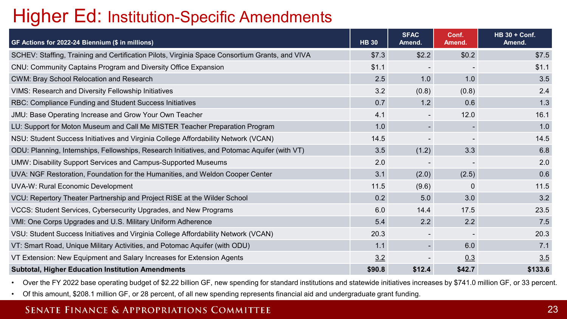### Higher Ed: Institution-Specific Amendments

| GF Actions for 2022-24 Biennium (\$ in millions)                                               | <b>HB 30</b> | <b>SFAC</b><br>Amend. | Conf.<br>Amend. | <b>HB 30 + Conf.</b><br>Amend. |
|------------------------------------------------------------------------------------------------|--------------|-----------------------|-----------------|--------------------------------|
| SCHEV: Staffing, Training and Certification Pilots, Virginia Space Consortium Grants, and VIVA | \$7.3        | \$2.2                 | \$0.2\$         | \$7.5                          |
| CNU: Community Captains Program and Diversity Office Expansion                                 | \$1.1        |                       |                 | \$1.1                          |
| CWM: Bray School Relocation and Research                                                       | 2.5          | 1.0                   | 1.0             | 3.5                            |
| <b>VIMS: Research and Diversity Fellowship Initiatives</b>                                     | 3.2          | (0.8)                 | (0.8)           | 2.4                            |
| RBC: Compliance Funding and Student Success Initiatives                                        | 0.7          | 1.2                   | 0.6             | 1.3                            |
| JMU: Base Operating Increase and Grow Your Own Teacher                                         | 4.1          |                       | 12.0            | 16.1                           |
| LU: Support for Moton Museum and Call Me MISTER Teacher Preparation Program                    | 1.0          |                       |                 | 1.0                            |
| NSU: Student Success Initiatives and Virginia College Affordability Network (VCAN)             | 14.5         |                       |                 | 14.5                           |
| ODU: Planning, Internships, Fellowships, Research Initiatives, and Potomac Aquifer (with VT)   | 3.5          | (1.2)                 | 3.3             | 6.8                            |
| UMW: Disability Support Services and Campus-Supported Museums                                  | 2.0          |                       |                 | 2.0                            |
| UVA: NGF Restoration, Foundation for the Humanities, and Weldon Cooper Center                  | 3.1          | (2.0)                 | (2.5)           | 0.6                            |
| UVA-W: Rural Economic Development                                                              | 11.5         | (9.6)                 | $\Omega$        | 11.5                           |
| VCU: Repertory Theater Partnership and Project RISE at the Wilder School                       | 0.2          | 5.0                   | 3.0             | 3.2                            |
| VCCS: Student Services, Cybersecurity Upgrades, and New Programs                               | 6.0          | 14.4                  | 17.5            | 23.5                           |
| VMI: One Corps Upgrades and U.S. Military Uniform Adherence                                    | 5.4          | 2.2                   | 2.2             | 7.5                            |
| VSU: Student Success Initiatives and Virginia College Affordability Network (VCAN)             | 20.3         |                       |                 | 20.3                           |
| VT: Smart Road, Unique Military Activities, and Potomac Aquifer (with ODU)                     | 1.1          |                       | 6.0             | 7.1                            |
| VT Extension: New Equipment and Salary Increases for Extension Agents                          | 3.2          |                       | 0.3             | 3.5                            |
| <b>Subtotal, Higher Education Institution Amendments</b>                                       | \$90.8       | \$12.4                | \$42.7          | \$133.6                        |

• Over the FY 2022 base operating budget of \$2.22 billion GF, new spending for standard institutions and statewide initiatives increases by \$741.0 million GF, or 33 percent.

• Of this amount, \$208.1 million GF, or 28 percent, of all new spending represents financial aid and undergraduate grant funding.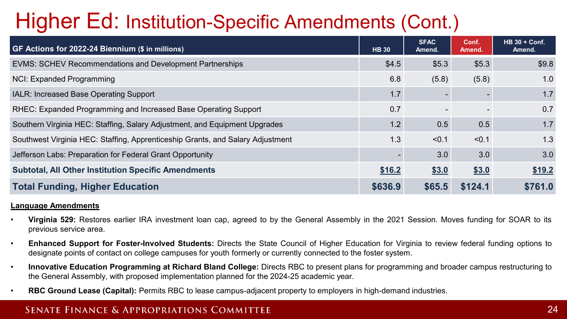## Higher Ed: Institution-Specific Amendments (Cont.)

| GF Actions for 2022-24 Biennium (\$ in millions)                               | <b>HB 30</b> | <b>SFAC</b><br>Amend. | Conf.<br>Amend.          | $HB 30 + Conf.$<br>Amend. |
|--------------------------------------------------------------------------------|--------------|-----------------------|--------------------------|---------------------------|
| EVMS: SCHEV Recommendations and Development Partnerships                       | \$4.5        | \$5.3\$               | \$5.3                    | \$9.8                     |
| NCI: Expanded Programming                                                      | 6.8          | (5.8)                 | (5.8)                    | 1.0                       |
| IALR: Increased Base Operating Support                                         | 1.7          |                       |                          | 1.7                       |
| RHEC: Expanded Programming and Increased Base Operating Support                | 0.7          |                       | $\overline{\phantom{0}}$ | 0.7                       |
| Southern Virginia HEC: Staffing, Salary Adjustment, and Equipment Upgrades     | 1.2          | 0.5                   | 0.5                      | 1.7                       |
| Southwest Virginia HEC: Staffing, Apprenticeship Grants, and Salary Adjustment | 1.3          | < 0.1                 | < 0.1                    | 1.3                       |
| Jefferson Labs: Preparation for Federal Grant Opportunity                      |              | 3.0                   | 3.0                      | 3.0                       |
| <b>Subtotal, All Other Institution Specific Amendments</b>                     | \$16.2       | \$3.0                 | \$3.0                    | \$19.2                    |
| <b>Total Funding, Higher Education</b>                                         | \$636.9      | \$65.5                | \$124.1                  | \$761.0                   |

#### **Language Amendments**

- **Virginia 529:** Restores earlier IRA investment loan cap, agreed to by the General Assembly in the 2021 Session. Moves funding for SOAR to its previous service area.
- **Enhanced Support for Foster-Involved Students:** Directs the State Council of Higher Education for Virginia to review federal funding options to designate points of contact on college campuses for youth formerly or currently connected to the foster system.
- **Innovative Education Programming at Richard Bland College:** Directs RBC to present plans for programming and broader campus restructuring to the General Assembly, with proposed implementation planned for the 2024-25 academic year.
- **RBC Ground Lease (Capital):** Permits RBC to lease campus-adjacent property to employers in high-demand industries.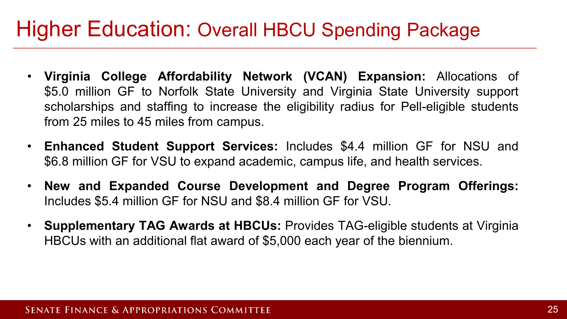### Higher Education: Overall HBCU Spending Package

- **Virginia College Affordability Network (VCAN) Expansion:** Allocations of \$5.0 million GF to Norfolk State University and Virginia State University support scholarships and staffing to increase the eligibility radius for Pell-eligible students from 25 miles to 45 miles from campus.
- **Enhanced Student Support Services:** Includes \$4.4 million GF for NSU and \$6.8 million GF for VSU to expand academic, campus life, and health services.
- **New and Expanded Course Development and Degree Program Offerings:** Includes \$5.4 million GF for NSU and \$8.4 million GF for VSU.
- **Supplementary TAG Awards at HBCUs:** Provides TAG-eligible students at Virginia HBCUs with an additional flat award of \$5,000 each year of the biennium.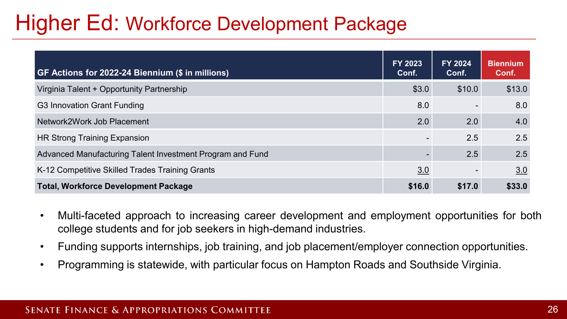### Higher Ed: Workforce Development Package

| GF Actions for 2022-24 Biennium (\$ in millions)          | FY 2023<br>Conf. | <b>FY 2024</b><br>Conf.  | <b>Biennium</b><br>Conf. |
|-----------------------------------------------------------|------------------|--------------------------|--------------------------|
| Virginia Talent + Opportunity Partnership                 | \$3.0            | \$10.0                   | \$13.0                   |
| G3 Innovation Grant Funding                               | 8.0              |                          | 8.0                      |
| Network2Work Job Placement                                | 2.0              | 2.0                      | 4.0                      |
| HR Strong Training Expansion                              |                  | 2.5                      | 2.5                      |
| Advanced Manufacturing Talent Investment Program and Fund |                  | 2.5                      | 2.5                      |
| K-12 Competitive Skilled Trades Training Grants           | 3.0              | $\overline{\phantom{a}}$ | 3.0                      |
| <b>Total, Workforce Development Package</b>               | \$16.0           | \$17.0                   | \$33.0                   |

- Multi-faceted approach to increasing career development and employment opportunities for both college students and for job seekers in high-demand industries.
- Funding supports internships, job training, and job placement/employer connection opportunities.
- Programming is statewide, with particular focus on Hampton Roads and Southside Virginia.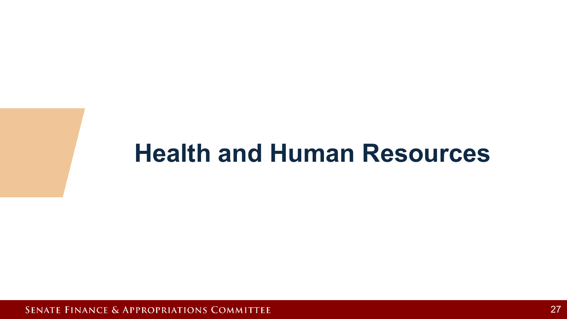## **Health and Human Resources**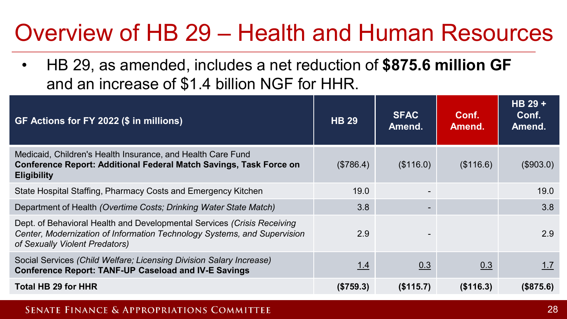## Overview of HB 29 – Health and Human Resources

• HB 29, as amended, includes a net reduction of **\$875.6 million GF** and an increase of \$1.4 billion NGF for HHR.

| GF Actions for FY 2022 (\$ in millions)                                                                                                                                               | <b>HB 29</b> | <b>SFAC</b><br>Amend. | Conf.<br>Amend. | $HB29+$<br>Conf.<br>Amend. |
|---------------------------------------------------------------------------------------------------------------------------------------------------------------------------------------|--------------|-----------------------|-----------------|----------------------------|
| Medicaid, Children's Health Insurance, and Health Care Fund<br><b>Conference Report: Additional Federal Match Savings, Task Force on</b><br><b>Eligibility</b>                        | (\$786.4)    | (\$116.0)             | (\$116.6)       | (\$903.0)                  |
| State Hospital Staffing, Pharmacy Costs and Emergency Kitchen                                                                                                                         | 19.0         |                       |                 | 19.0                       |
| Department of Health (Overtime Costs; Drinking Water State Match)                                                                                                                     | 3.8          |                       |                 | 3.8                        |
| Dept. of Behavioral Health and Developmental Services (Crisis Receiving<br>Center, Modernization of Information Technology Systems, and Supervision<br>of Sexually Violent Predators) | 2.9          |                       |                 | 2.9                        |
| Social Services (Child Welfare; Licensing Division Salary Increase)<br><b>Conference Report: TANF-UP Caseload and IV-E Savings</b>                                                    | <u>1.4</u>   | 0.3                   | 0.3             | 1.7                        |
| <b>Total HB 29 for HHR</b>                                                                                                                                                            | (\$759.3)    | (\$115.7)             | (\$116.3)       | (\$875.6)                  |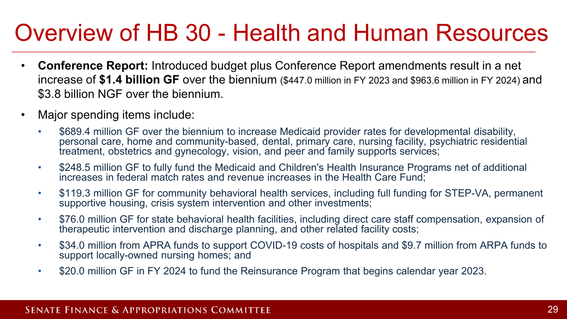## Overview of HB 30 - Health and Human Resources

- **Conference Report:** Introduced budget plus Conference Report amendments result in a net increase of **\$1.4 billion GF** over the biennium (\$447.0 million in FY 2023 and \$963.6 million in FY 2024) and \$3.8 billion NGF over the biennium.
- Major spending items include:
	- \$689.4 million GF over the biennium to increase Medicaid provider rates for developmental disability, personal care, home and community-based, dental, primary care, nursing facility, psychiatric residential treatment, obstetrics and gynecology, vision, and peer and family supports services;
	- \$248.5 million GF to fully fund the Medicaid and Children's Health Insurance Programs net of additional increases in federal match rates and revenue increases in the Health Care Fund;
	- \$119.3 million GF for community behavioral health services, including full funding for STEP-VA, permanent supportive housing, crisis system intervention and other investments;
	- \$76.0 million GF for state behavioral health facilities, including direct care staff compensation, expansion of therapeutic intervention and discharge planning, and other related facility costs;
	- \$34.0 million from APRA funds to support COVID-19 costs of hospitals and \$9.7 million from ARPA funds to support locally-owned nursing homes; and
	- \$20.0 million GF in FY 2024 to fund the Reinsurance Program that begins calendar year 2023.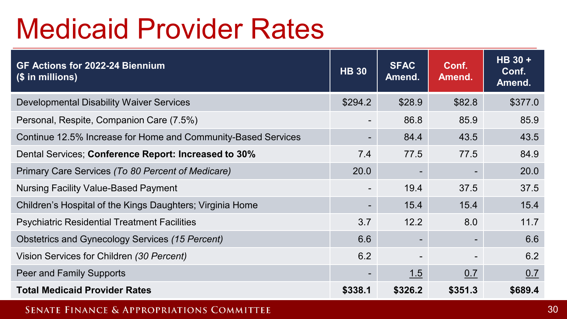# Medicaid Provider Rates

| GF Actions for 2022-24 Biennium<br>(\$ in millions)           | <b>HB 30</b>             | <b>SFAC</b><br>Amend. | Conf.<br>Amend. | HB 30 +<br>Conf.<br>Amend. |
|---------------------------------------------------------------|--------------------------|-----------------------|-----------------|----------------------------|
| <b>Developmental Disability Waiver Services</b>               | \$294.2                  | \$28.9                | \$82.8          | \$377.0                    |
| Personal, Respite, Companion Care (7.5%)                      | ۰.                       | 86.8                  | 85.9            | 85.9                       |
| Continue 12.5% Increase for Home and Community-Based Services | $\overline{\phantom{0}}$ | 84.4                  | 43.5            | 43.5                       |
| Dental Services; Conference Report: Increased to 30%          | 7.4                      | 77.5                  | 77.5            | 84.9                       |
| Primary Care Services (To 80 Percent of Medicare)             | 20.0                     |                       |                 | 20.0                       |
| <b>Nursing Facility Value-Based Payment</b>                   | $\overline{\phantom{a}}$ | 19.4                  | 37.5            | 37.5                       |
| Children's Hospital of the Kings Daughters; Virginia Home     | $\overline{\phantom{a}}$ | 15.4                  | 15.4            | 15.4                       |
| <b>Psychiatric Residential Treatment Facilities</b>           | 3.7                      | 12.2                  | 8.0             | 11.7                       |
| Obstetrics and Gynecology Services (15 Percent)               | 6.6                      |                       |                 | 6.6                        |
| Vision Services for Children (30 Percent)                     | 6.2                      |                       |                 | 6.2                        |
| Peer and Family Supports                                      | $\overline{\phantom{a}}$ | 1.5                   | 0.7             | 0.7                        |
| <b>Total Medicaid Provider Rates</b>                          | \$338.1                  | \$326.2               | \$351.3         | \$689.4                    |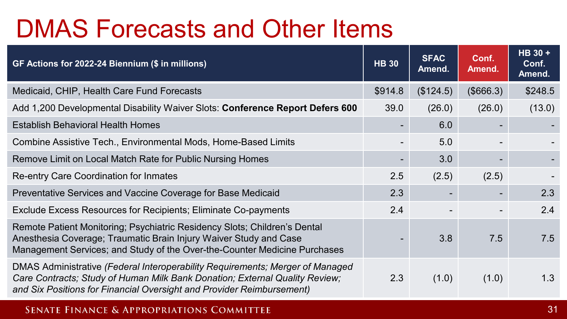## DMAS Forecasts and Other Items

| GF Actions for 2022-24 Biennium (\$ in millions)                                                                                                                                                                                      | <b>HB 30</b>                 | <b>SFAC</b><br>Amend. | Conf.<br>Amend. | HB 30 +<br>Conf.<br>Amend. |
|---------------------------------------------------------------------------------------------------------------------------------------------------------------------------------------------------------------------------------------|------------------------------|-----------------------|-----------------|----------------------------|
| Medicaid, CHIP, Health Care Fund Forecasts                                                                                                                                                                                            | \$914.8                      | (\$124.5)             | (\$666.3)       | \$248.5                    |
| Add 1,200 Developmental Disability Waiver Slots: Conference Report Defers 600                                                                                                                                                         | 39.0                         | (26.0)                | (26.0)          | (13.0)                     |
| <b>Establish Behavioral Health Homes</b>                                                                                                                                                                                              |                              | 6.0                   |                 |                            |
| Combine Assistive Tech., Environmental Mods, Home-Based Limits                                                                                                                                                                        | $\qquad \qquad \blacksquare$ | 5.0                   |                 |                            |
| Remove Limit on Local Match Rate for Public Nursing Homes                                                                                                                                                                             | -                            | 3.0                   |                 |                            |
| Re-entry Care Coordination for Inmates                                                                                                                                                                                                | 2.5                          | (2.5)                 | (2.5)           |                            |
| Preventative Services and Vaccine Coverage for Base Medicaid                                                                                                                                                                          | 2.3                          | ۰.                    |                 | 2.3                        |
| Exclude Excess Resources for Recipients; Eliminate Co-payments                                                                                                                                                                        | 2.4                          |                       |                 | 2.4                        |
| Remote Patient Monitoring; Psychiatric Residency Slots; Children's Dental<br>Anesthesia Coverage; Traumatic Brain Injury Waiver Study and Case<br>Management Services; and Study of the Over-the-Counter Medicine Purchases           |                              | 3.8                   | 7.5             | 7.5                        |
| DMAS Administrative (Federal Interoperability Requirements; Merger of Managed<br>Care Contracts; Study of Human Milk Bank Donation; External Quality Review;<br>and Six Positions for Financial Oversight and Provider Reimbursement) | 2.3                          | (1.0)                 | (1.0)           | 1.3                        |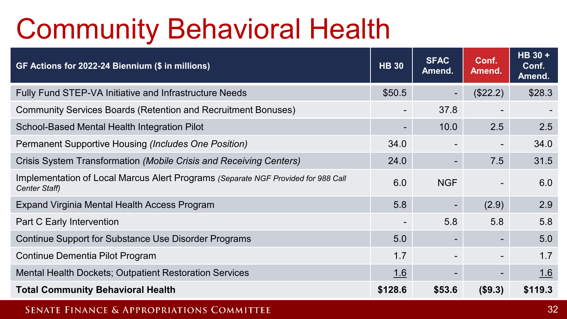# Community Behavioral Health

| GF Actions for 2022-24 Biennium (\$ in millions)                                                   | <b>HB 30</b> | <b>SFAC</b><br>Amend. | Conf.<br>Amend.          | HB 30 +<br>Conf.<br>Amend. |
|----------------------------------------------------------------------------------------------------|--------------|-----------------------|--------------------------|----------------------------|
| Fully Fund STEP-VA Initiative and Infrastructure Needs                                             | \$50.5       |                       | (\$22.2)                 | \$28.3                     |
| Community Services Boards (Retention and Recruitment Bonuses)                                      | -            | 37.8                  |                          |                            |
| School-Based Mental Health Integration Pilot                                                       | ۰.           | 10.0                  | 2.5                      | 2.5                        |
| Permanent Supportive Housing (Includes One Position)                                               | 34.0         |                       |                          | 34.0                       |
| Crisis System Transformation (Mobile Crisis and Receiving Centers)                                 | 24.0         |                       | 7.5                      | 31.5                       |
| Implementation of Local Marcus Alert Programs (Separate NGF Provided for 988 Call<br>Center Staff) | 6.0          | <b>NGF</b>            |                          | 6.0                        |
| Expand Virginia Mental Health Access Program                                                       | 5.8          |                       | (2.9)                    | 2.9                        |
| Part C Early Intervention                                                                          | ۰            | 5.8                   | 5.8                      | 5.8                        |
| Continue Support for Substance Use Disorder Programs                                               | 5.0          |                       | $\overline{\phantom{0}}$ | 5.0                        |
| Continue Dementia Pilot Program                                                                    | 1.7          |                       |                          | 1.7                        |
| <b>Mental Health Dockets; Outpatient Restoration Services</b>                                      | 1.6          |                       | $\blacksquare$           | 1.6                        |
| <b>Total Community Behavioral Health</b>                                                           | \$128.6      | \$53.6                | (\$9.3)                  | \$119.3                    |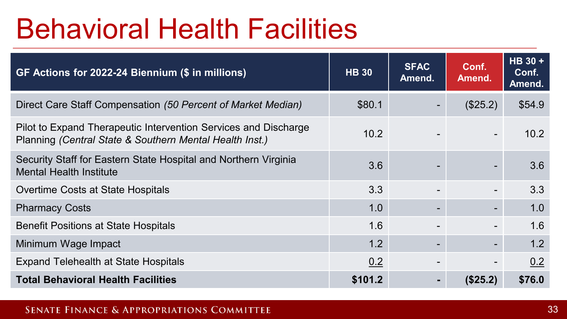# Behavioral Health Facilities

| GF Actions for 2022-24 Biennium (\$ in millions)                                                                           | <b>HB 30</b> | <b>SFAC</b><br>Amend. | Conf.<br>Amend. | HB 30+<br>Conf.<br>Amend. |
|----------------------------------------------------------------------------------------------------------------------------|--------------|-----------------------|-----------------|---------------------------|
| Direct Care Staff Compensation (50 Percent of Market Median)                                                               | \$80.1       |                       | (\$25.2)        | \$54.9                    |
| Pilot to Expand Therapeutic Intervention Services and Discharge<br>Planning (Central State & Southern Mental Health Inst.) | 10.2         |                       |                 | 10.2                      |
| Security Staff for Eastern State Hospital and Northern Virginia<br><b>Mental Health Institute</b>                          | 3.6          |                       |                 | 3.6                       |
| Overtime Costs at State Hospitals                                                                                          | 3.3          |                       |                 | 3.3                       |
| <b>Pharmacy Costs</b>                                                                                                      | 1.0          |                       | $\blacksquare$  | 1.0                       |
| <b>Benefit Positions at State Hospitals</b>                                                                                | 1.6          |                       | $\blacksquare$  | 1.6                       |
| Minimum Wage Impact                                                                                                        | 1.2          |                       | ۰.              | 1.2                       |
| <b>Expand Telehealth at State Hospitals</b>                                                                                | 0.2          |                       |                 | 0.2                       |
| <b>Total Behavioral Health Facilities</b>                                                                                  | \$101.2      | $\blacksquare$        | (\$25.2)        | \$76.0                    |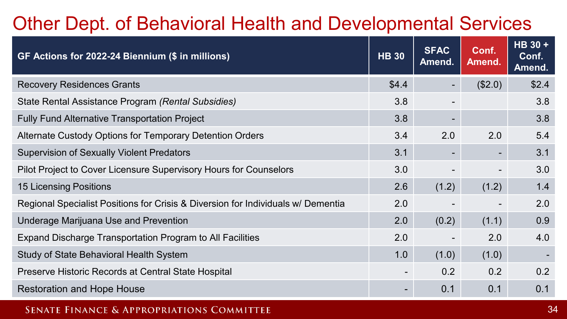### Other Dept. of Behavioral Health and Developmental Services

| GF Actions for 2022-24 Biennium (\$ in millions)                                 | <b>HB 30</b>             | <b>SFAC</b><br>Amend. | Conf.<br>Amend. | HB 30 +<br>Conf.<br>Amend. |
|----------------------------------------------------------------------------------|--------------------------|-----------------------|-----------------|----------------------------|
| <b>Recovery Residences Grants</b>                                                | \$4.4                    |                       | (\$2.0)         | \$2.4                      |
| State Rental Assistance Program (Rental Subsidies)                               | 3.8                      |                       |                 | 3.8                        |
| <b>Fully Fund Alternative Transportation Project</b>                             | 3.8                      |                       |                 | 3.8                        |
| Alternate Custody Options for Temporary Detention Orders                         | 3.4                      | 2.0                   | 2.0             | 5.4                        |
| <b>Supervision of Sexually Violent Predators</b>                                 | 3.1                      |                       | ۰               | 3.1                        |
| Pilot Project to Cover Licensure Supervisory Hours for Counselors                | 3.0                      |                       |                 | 3.0                        |
| <b>15 Licensing Positions</b>                                                    | 2.6                      | (1.2)                 | (1.2)           | 1.4                        |
| Regional Specialist Positions for Crisis & Diversion for Individuals w/ Dementia | 2.0                      |                       |                 | 2.0                        |
| Underage Marijuana Use and Prevention                                            | 2.0                      | (0.2)                 | (1.1)           | 0.9                        |
| Expand Discharge Transportation Program to All Facilities                        | 2.0                      |                       | 2.0             | 4.0                        |
| Study of State Behavioral Health System                                          | 1.0                      | (1.0)                 | (1.0)           |                            |
| Preserve Historic Records at Central State Hospital                              | $\overline{\phantom{a}}$ | 0.2                   | 0.2             | 0.2                        |
| <b>Restoration and Hope House</b>                                                | -                        | 0.1                   | 0.1             | 0.1                        |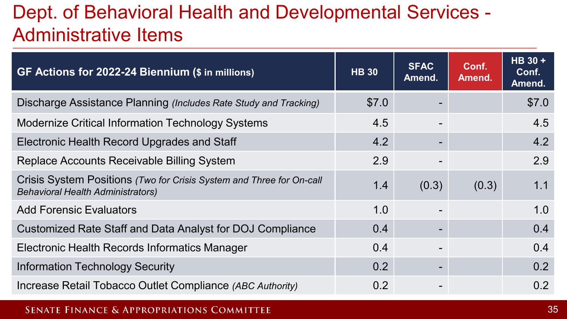### Dept. of Behavioral Health and Developmental Services - Administrative Items

| GF Actions for 2022-24 Biennium (\$ in millions)                                                                 | <b>HB 30</b> | <b>SFAC</b><br>Amend. | Conf.<br>Amend. | HB 30+<br>Conf.<br>Amend. |
|------------------------------------------------------------------------------------------------------------------|--------------|-----------------------|-----------------|---------------------------|
| Discharge Assistance Planning (Includes Rate Study and Tracking)                                                 | \$7.0        |                       |                 | \$7.0                     |
| <b>Modernize Critical Information Technology Systems</b>                                                         | 4.5          |                       |                 | 4.5                       |
| <b>Electronic Health Record Upgrades and Staff</b>                                                               | 4.2          |                       |                 | 4.2                       |
| Replace Accounts Receivable Billing System                                                                       | 2.9          |                       |                 | 2.9                       |
| Crisis System Positions (Two for Crisis System and Three for On-call<br><b>Behavioral Health Administrators)</b> | 1.4          | (0.3)                 | (0.3)           | 1.1                       |
| <b>Add Forensic Evaluators</b>                                                                                   | 1.0          |                       |                 | 1.0                       |
| Customized Rate Staff and Data Analyst for DOJ Compliance                                                        | 0.4          |                       |                 | 0.4                       |
| Electronic Health Records Informatics Manager                                                                    | 0.4          |                       |                 | 0.4                       |
| <b>Information Technology Security</b>                                                                           | 0.2          |                       |                 | 0.2                       |
| Increase Retail Tobacco Outlet Compliance (ABC Authority)                                                        | 0.2          |                       |                 | 0.2                       |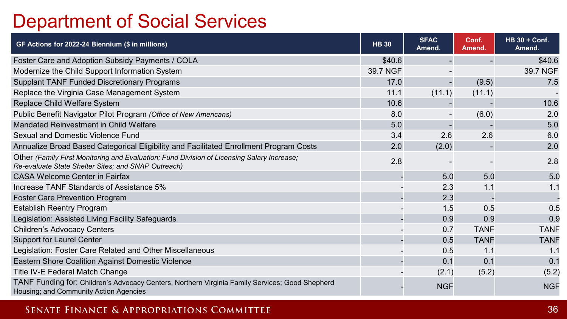### Department of Social Services

| GF Actions for 2022-24 Biennium (\$ in millions)                                                                                                  | <b>HB 30</b> | <b>SFAC</b><br>Amend. | Conf.<br>Amend. | <b>HB 30 + Conf.</b><br>Amend. |
|---------------------------------------------------------------------------------------------------------------------------------------------------|--------------|-----------------------|-----------------|--------------------------------|
| Foster Care and Adoption Subsidy Payments / COLA                                                                                                  | \$40.6       |                       |                 | \$40.6                         |
| Modernize the Child Support Information System                                                                                                    | 39.7 NGF     |                       |                 | 39.7 NGF                       |
| <b>Supplant TANF Funded Discretionary Programs</b>                                                                                                | 17.0         |                       | (9.5)           | 7.5                            |
| Replace the Virginia Case Management System                                                                                                       | 11.1         | (11.1)                | (11.1)          |                                |
| Replace Child Welfare System                                                                                                                      | 10.6         |                       |                 | 10.6                           |
| Public Benefit Navigator Pilot Program (Office of New Americans)                                                                                  | 8.0          |                       | (6.0)           | 2.0                            |
| Mandated Reinvestment in Child Welfare                                                                                                            | 5.0          |                       |                 | 5.0                            |
| Sexual and Domestic Violence Fund                                                                                                                 | 3.4          | 2.6                   | 2.6             | 6.0                            |
| Annualize Broad Based Categorical Eligibility and Facilitated Enrollment Program Costs                                                            | 2.0          | (2.0)                 |                 | 2.0                            |
| Other (Family First Monitoring and Evaluation; Fund Division of Licensing Salary Increase;<br>Re-evaluate State Shelter Sites; and SNAP Outreach) | 2.8          |                       |                 | 2.8                            |
| <b>CASA Welcome Center in Fairfax</b>                                                                                                             |              | 5.0                   | 5.0             | 5.0                            |
| Increase TANF Standards of Assistance 5%                                                                                                          |              | 2.3                   | 1.1             | 1.1                            |
| Foster Care Prevention Program                                                                                                                    |              | 2.3                   |                 |                                |
| <b>Establish Reentry Program</b>                                                                                                                  |              | 1.5                   | 0.5             | 0.5                            |
| Legislation: Assisted Living Facility Safeguards                                                                                                  |              | 0.9                   | 0.9             | 0.9                            |
| Children's Advocacy Centers                                                                                                                       |              | 0.7                   | <b>TANF</b>     | <b>TANF</b>                    |
| <b>Support for Laurel Center</b>                                                                                                                  |              | 0.5                   | <b>TANF</b>     | <b>TANF</b>                    |
| Legislation: Foster Care Related and Other Miscellaneous                                                                                          |              | 0.5                   | 1.1             | 1.1                            |
| Eastern Shore Coalition Against Domestic Violence                                                                                                 |              | 0.1                   | 0.1             | 0.1                            |
| Title IV-E Federal Match Change                                                                                                                   |              | (2.1)                 | (5.2)           | (5.2)                          |
| TANF Funding for: Children's Advocacy Centers, Northern Virginia Family Services; Good Shepherd<br>Housing; and Community Action Agencies         |              | <b>NGF</b>            |                 | <b>NGF</b>                     |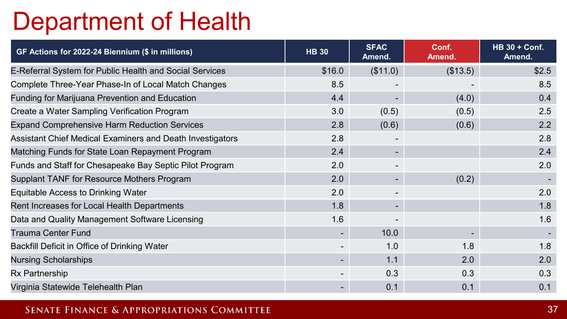## Department of Health

| GF Actions for 2022-24 Biennium (\$ in millions)          | <b>HB 30</b> | <b>SFAC</b><br>Amend. | Conf.<br>Amend. | <b>HB 30 + Conf.</b><br>Amend. |
|-----------------------------------------------------------|--------------|-----------------------|-----------------|--------------------------------|
| E-Referral System for Public Health and Social Services   | \$16.0       | (\$11.0)              | (\$13.5)        | \$2.5                          |
| Complete Three-Year Phase-In of Local Match Changes       | 8.5          |                       |                 | 8.5                            |
| Funding for Marijuana Prevention and Education            | 4.4          |                       | (4.0)           | 0.4                            |
| Create a Water Sampling Verification Program              | 3.0          | (0.5)                 | (0.5)           | 2.5                            |
| <b>Expand Comprehensive Harm Reduction Services</b>       | 2.8          | (0.6)                 | (0.6)           | 2.2                            |
| Assistant Chief Medical Examiners and Death Investigators | 2.8          |                       |                 | 2.8                            |
| Matching Funds for State Loan Repayment Program           | 2.4          |                       |                 | 2.4                            |
| Funds and Staff for Chesapeake Bay Septic Pilot Program   | 2.0          |                       |                 | 2.0                            |
| Supplant TANF for Resource Mothers Program                | 2.0          |                       | (0.2)           |                                |
| Equitable Access to Drinking Water                        | 2.0          |                       |                 | 2.0                            |
| Rent Increases for Local Health Departments               | 1.8          |                       |                 | 1.8                            |
| Data and Quality Management Software Licensing            | 1.6          |                       |                 | 1.6                            |
| <b>Trauma Center Fund</b>                                 | ۰            | 10.0                  |                 |                                |
| Backfill Deficit in Office of Drinking Water              |              | 1.0                   | 1.8             | 1.8                            |
| <b>Nursing Scholarships</b>                               |              | 1.1                   | 2.0             | 2.0                            |
| Rx Partnership                                            |              | 0.3                   | 0.3             | 0.3                            |
| Virginia Statewide Telehealth Plan                        |              | 0.1                   | 0.1             | 0.1                            |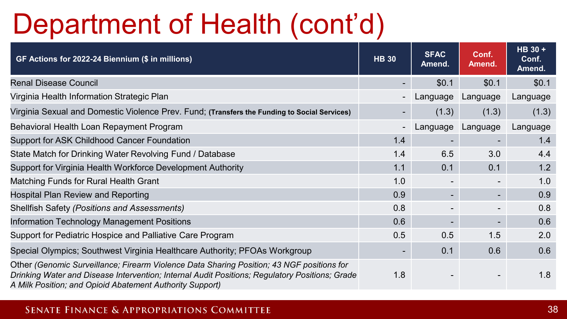# Department of Health (cont'd)

| GF Actions for 2022-24 Biennium (\$ in millions)                                                                                                                                                                                                        | <b>HB 30</b> | <b>SFAC</b><br>Amend. | Conf.<br>Amend.          | HB 30 +<br>Conf.<br>Amend. |
|---------------------------------------------------------------------------------------------------------------------------------------------------------------------------------------------------------------------------------------------------------|--------------|-----------------------|--------------------------|----------------------------|
| <b>Renal Disease Council</b>                                                                                                                                                                                                                            |              | \$0.1                 | \$0.1                    | \$0.1                      |
| Virginia Health Information Strategic Plan                                                                                                                                                                                                              |              | Language              | Language                 | Language                   |
| Virginia Sexual and Domestic Violence Prev. Fund; (Transfers the Funding to Social Services)                                                                                                                                                            | ۰.           | (1.3)                 | (1.3)                    | (1.3)                      |
| Behavioral Health Loan Repayment Program                                                                                                                                                                                                                |              | Language              | Language                 | Language                   |
| Support for ASK Childhood Cancer Foundation                                                                                                                                                                                                             | 1.4          |                       |                          | 1.4                        |
| State Match for Drinking Water Revolving Fund / Database                                                                                                                                                                                                | 1.4          | 6.5                   | 3.0                      | 4.4                        |
| Support for Virginia Health Workforce Development Authority                                                                                                                                                                                             | 1.1          | 0.1                   | 0.1                      | 1.2                        |
| Matching Funds for Rural Health Grant                                                                                                                                                                                                                   | 1.0          |                       |                          | 1.0                        |
| Hospital Plan Review and Reporting                                                                                                                                                                                                                      | 0.9          |                       | ۰.                       | 0.9                        |
| <b>Shellfish Safety (Positions and Assessments)</b>                                                                                                                                                                                                     | 0.8          |                       |                          | 0.8                        |
| Information Technology Management Positions                                                                                                                                                                                                             | 0.6          |                       | $\overline{\phantom{a}}$ | 0.6                        |
| Support for Pediatric Hospice and Palliative Care Program                                                                                                                                                                                               | 0.5          | 0.5                   | 1.5                      | 2.0                        |
| Special Olympics; Southwest Virginia Healthcare Authority; PFOAs Workgroup                                                                                                                                                                              | ٠            | 0.1                   | 0.6                      | 0.6                        |
| Other (Genomic Surveillance; Firearm Violence Data Sharing Position; 43 NGF positions for<br>Drinking Water and Disease Intervention; Internal Audit Positions; Regulatory Positions; Grade<br>A Milk Position; and Opioid Abatement Authority Support) | 1.8          |                       |                          | 1.8                        |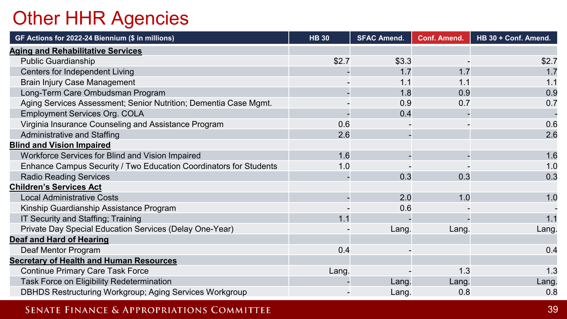### Other HHR Agencies

| GF Actions for 2022-24 Biennium (\$ in millions)                  | <b>HB 30</b> | <b>SFAC Amend.</b> | <b>Conf. Amend.</b> | HB 30 + Conf. Amend. |
|-------------------------------------------------------------------|--------------|--------------------|---------------------|----------------------|
| <b>Aging and Rehabilitative Services</b>                          |              |                    |                     |                      |
| <b>Public Guardianship</b>                                        | \$2.7        | \$3.3              |                     | \$2.7                |
| Centers for Independent Living                                    |              | 1.7                | 1.7                 | 1.7                  |
| <b>Brain Injury Case Management</b>                               |              | 1.1                | 1.1                 | 1.1                  |
| Long-Term Care Ombudsman Program                                  |              | 1.8                | 0.9                 | 0.9                  |
| Aging Services Assessment; Senior Nutrition; Dementia Case Mgmt.  |              | 0.9                | 0.7                 | 0.7                  |
| <b>Employment Services Org. COLA</b>                              |              | 0.4                |                     |                      |
| Virginia Insurance Counseling and Assistance Program              | 0.6          |                    |                     | 0.6                  |
| Administrative and Staffing                                       | 2.6          |                    |                     | 2.6                  |
| <b>Blind and Vision Impaired</b>                                  |              |                    |                     |                      |
| Workforce Services for Blind and Vision Impaired                  | 1.6          |                    |                     | 1.6                  |
| Enhance Campus Security / Two Education Coordinators for Students | 1.0          |                    |                     | 1.0                  |
| <b>Radio Reading Services</b>                                     |              | 0.3                | 0.3                 | 0.3                  |
| <b>Children's Services Act</b>                                    |              |                    |                     |                      |
| <b>Local Administrative Costs</b>                                 |              | 2.0                | 1.0                 | 1.0                  |
| Kinship Guardianship Assistance Program                           |              | 0.6                |                     |                      |
| IT Security and Staffing; Training                                | 1.1          |                    |                     | 1.1                  |
| Private Day Special Education Services (Delay One-Year)           |              | Lang.              | Lang.               | Lang.                |
| <b>Deaf and Hard of Hearing</b>                                   |              |                    |                     |                      |
| Deaf Mentor Program                                               | 0.4          |                    |                     | 0.4                  |
| <b>Secretary of Health and Human Resources</b>                    |              |                    |                     |                      |
| <b>Continue Primary Care Task Force</b>                           | Lang.        |                    | 1.3                 | 1.3                  |
| Task Force on Eligibility Redetermination                         |              | Lang.              | Lang.               | Lang.                |
| <b>DBHDS Restructuring Workgroup; Aging Services Workgroup</b>    |              | Lang.              | 0.8                 | 0.8                  |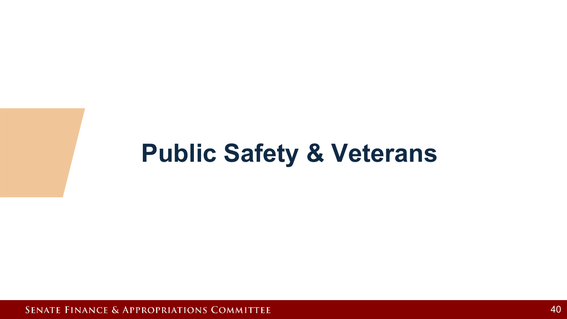## **Public Safety & Veterans**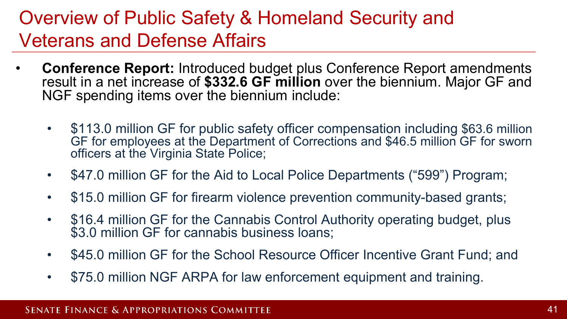### Overview of Public Safety & Homeland Security and Veterans and Defense Affairs

- **Conference Report:** Introduced budget plus Conference Report amendments result in a net increase of **\$332.6 GF million** over the biennium. Major GF and NGF spending items over the biennium include:
	- \$113.0 million GF for public safety officer compensation including \$63.6 million GF for employees at the Department of Corrections and \$46.5 million GF for sworn officers at the Virginia State Police;
	- \$47.0 million GF for the Aid to Local Police Departments ("599") Program;
	- \$15.0 million GF for firearm violence prevention community-based grants;
	- \$16.4 million GF for the Cannabis Control Authority operating budget, plus \$3.0 million GF for cannabis business loans;
	- \$45.0 million GF for the School Resource Officer Incentive Grant Fund; and
	- \$75.0 million NGF ARPA for law enforcement equipment and training.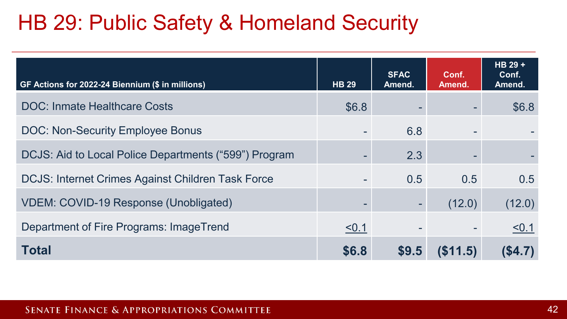## HB 29: Public Safety & Homeland Security

| GF Actions for 2022-24 Biennium (\$ in millions)         | <b>HB 29</b> | <b>SFAC</b><br>Amend. | Conf.<br>Amend. | HB 29 +<br>Conf.<br>Amend. |
|----------------------------------------------------------|--------------|-----------------------|-----------------|----------------------------|
| <b>DOC: Inmate Healthcare Costs</b>                      | \$6.8        |                       |                 | \$6.8                      |
| <b>DOC: Non-Security Employee Bonus</b>                  |              | 6.8                   |                 |                            |
| DCJS: Aid to Local Police Departments ("599") Program    |              | 2.3                   |                 |                            |
| <b>DCJS: Internet Crimes Against Children Task Force</b> |              | 0.5                   | 0.5             | 0.5                        |
| <b>VDEM: COVID-19 Response (Unobligated)</b>             |              |                       | (12.0)          | (12.0)                     |
| Department of Fire Programs: ImageTrend                  | < 0.1        |                       |                 | < 0.1                      |
| <b>Total</b>                                             | \$6.8        | \$9.5                 | (S11.5)         | (\$4.7)                    |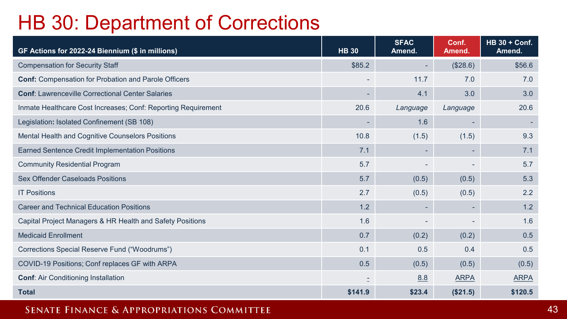### HB 30: Department of Corrections

| GF Actions for 2022-24 Biennium (\$ in millions)              | <b>HB 30</b>             | <b>SFAC</b><br>Amend. | Conf.<br>Amend. | <b>HB 30 + Conf.</b><br>Amend. |
|---------------------------------------------------------------|--------------------------|-----------------------|-----------------|--------------------------------|
| <b>Compensation for Security Staff</b>                        | \$85.2                   |                       | (\$28.6)        | \$56.6                         |
| <b>Conf: Compensation for Probation and Parole Officers</b>   | $\overline{\phantom{0}}$ | 11.7                  | 7.0             | 7.0                            |
| <b>Conf: Lawrenceville Correctional Center Salaries</b>       | ٠                        | 4.1                   | 3.0             | 3.0                            |
| Inmate Healthcare Cost Increases; Conf: Reporting Requirement | 20.6                     | Language              | Language        | 20.6                           |
| Legislation: Isolated Confinement (SB 108)                    | $\overline{\phantom{a}}$ | 1.6                   | ٠               |                                |
| Mental Health and Cognitive Counselors Positions              | 10.8                     | (1.5)                 | (1.5)           | 9.3                            |
| Earned Sentence Credit Implementation Positions               | 7.1                      |                       |                 | 7.1                            |
| <b>Community Residential Program</b>                          | 5.7                      |                       |                 | 5.7                            |
| <b>Sex Offender Caseloads Positions</b>                       | 5.7                      | (0.5)                 | (0.5)           | 5.3                            |
| <b>IT Positions</b>                                           | 2.7                      | (0.5)                 | (0.5)           | 2.2                            |
| <b>Career and Technical Education Positions</b>               | 1.2                      |                       |                 | 1.2                            |
| Capital Project Managers & HR Health and Safety Positions     | 1.6                      |                       |                 | 1.6                            |
| <b>Medicaid Enrollment</b>                                    | 0.7                      | (0.2)                 | (0.2)           | 0.5                            |
| Corrections Special Reserve Fund ("Woodrums")                 | 0.1                      | 0.5                   | 0.4             | 0.5                            |
| COVID-19 Positions; Conf replaces GF with ARPA                | 0.5                      | (0.5)                 | (0.5)           | (0.5)                          |
| <b>Conf: Air Conditioning Installation</b>                    |                          | 8.8                   | <b>ARPA</b>     | <b>ARPA</b>                    |
| <b>Total</b>                                                  | \$141.9                  | \$23.4                | (\$21.5)        | \$120.5                        |

SENATE FINANCE & APPROPRIATIONS COMMITTEE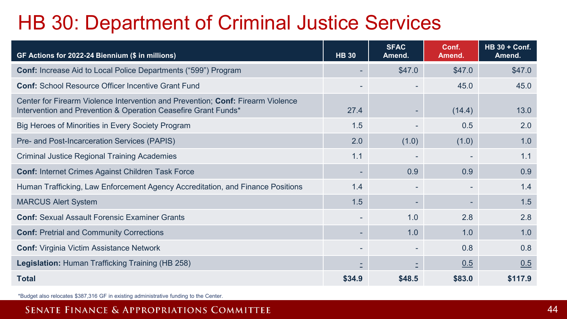## HB 30: Department of Criminal Justice Services

| GF Actions for 2022-24 Biennium (\$ in millions)                                                                                                  | <b>HB 30</b> | <b>SFAC</b><br>Amend. | Conf.<br>Amend. | <b>HB 30 + Conf.</b><br>Amend. |
|---------------------------------------------------------------------------------------------------------------------------------------------------|--------------|-----------------------|-----------------|--------------------------------|
| <b>Conf:</b> Increase Aid to Local Police Departments ("599") Program                                                                             |              | \$47.0                | \$47.0          | \$47.0                         |
| <b>Conf:</b> School Resource Officer Incentive Grant Fund                                                                                         |              |                       | 45.0            | 45.0                           |
| Center for Firearm Violence Intervention and Prevention; Conf: Firearm Violence<br>Intervention and Prevention & Operation Ceasefire Grant Funds* | 27.4         |                       | (14.4)          | 13.0                           |
| Big Heroes of Minorities in Every Society Program                                                                                                 | 1.5          |                       | 0.5             | 2.0                            |
| Pre- and Post-Incarceration Services (PAPIS)                                                                                                      | 2.0          | (1.0)                 | (1.0)           | 1.0                            |
| <b>Criminal Justice Regional Training Academies</b>                                                                                               | 1.1          |                       |                 | 1.1                            |
| <b>Conf: Internet Crimes Against Children Task Force</b>                                                                                          |              | 0.9                   | 0.9             | 0.9                            |
| Human Trafficking, Law Enforcement Agency Accreditation, and Finance Positions                                                                    | 1.4          |                       |                 | 1.4                            |
| <b>MARCUS Alert System</b>                                                                                                                        | 1.5          |                       | ۰               | 1.5                            |
| <b>Conf:</b> Sexual Assault Forensic Examiner Grants                                                                                              |              | 1.0                   | 2.8             | 2.8                            |
| <b>Conf: Pretrial and Community Corrections</b>                                                                                                   |              | 1.0                   | 1.0             | 1.0                            |
| <b>Conf:</b> Virginia Victim Assistance Network                                                                                                   |              |                       | 0.8             | 0.8                            |
| Legislation: Human Trafficking Training (HB 258)                                                                                                  |              |                       | 0.5             | 0.5                            |
| <b>Total</b>                                                                                                                                      | \$34.9       | \$48.5                | \$83.0          | \$117.9                        |

\*Budget also relocates \$387,316 GF in existing administrative funding to the Center.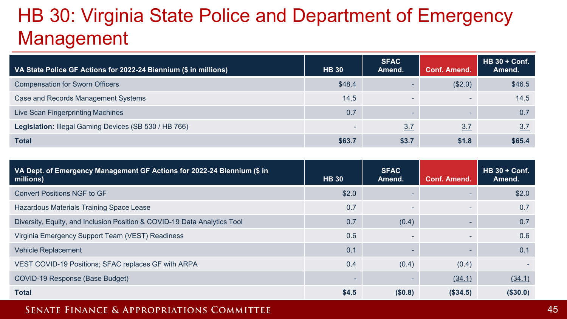## HB 30: Virginia State Police and Department of Emergency Management

| VA State Police GF Actions for 2022-24 Biennium (\$ in millions) | <b>HB 30</b> | <b>SFAC</b><br>Amend. | Conf. Amend.             | $HB 30 + Conf.$<br>Amend. |
|------------------------------------------------------------------|--------------|-----------------------|--------------------------|---------------------------|
| <b>Compensation for Sworn Officers</b>                           | \$48.4       |                       | (\$2.0)                  | \$46.5                    |
| Case and Records Management Systems                              | 14.5         | $\sim$                | $\overline{\phantom{a}}$ | 14.5                      |
| Live Scan Fingerprinting Machines                                | 0.7          |                       | $\overline{\phantom{a}}$ | 0.7                       |
| Legislation: Illegal Gaming Devices (SB 530 / HB 766)            | $\sim$       | 3.7                   | 3.7                      | 3.7                       |
| <b>Total</b>                                                     | \$63.7       | \$3.7                 | \$1.8                    | \$65.4                    |

| VA Dept. of Emergency Management GF Actions for 2022-24 Biennium (\$ in<br>millions) | <b>HB 30</b> | <b>SFAC</b><br>Amend. | <b>Conf. Amend.</b> | <b>HB 30 + Conf.</b><br>Amend. |
|--------------------------------------------------------------------------------------|--------------|-----------------------|---------------------|--------------------------------|
| Convert Positions NGF to GF                                                          | \$2.0        |                       | -                   | \$2.0                          |
| Hazardous Materials Training Space Lease                                             | 0.7          |                       | -                   | 0.7                            |
| Diversity, Equity, and Inclusion Position & COVID-19 Data Analytics Tool             | 0.7          | (0.4)                 | ٠                   | 0.7                            |
| Virginia Emergency Support Team (VEST) Readiness                                     | 0.6          |                       |                     | 0.6                            |
| <b>Vehicle Replacement</b>                                                           | 0.1          |                       | ٠                   | 0.1                            |
| VEST COVID-19 Positions; SFAC replaces GF with ARPA                                  | 0.4          | (0.4)                 | (0.4)               |                                |
| COVID-19 Response (Base Budget)                                                      |              |                       | (34.1)              | (34.1)                         |
| <b>Total</b>                                                                         | \$4.5        | (\$0.8)               | (\$34.5)            | (\$30.0)                       |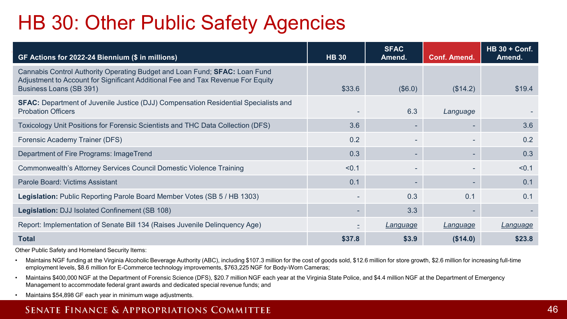## HB 30: Other Public Safety Agencies

| GF Actions for 2022-24 Biennium (\$ in millions)                                                                                                                                                | <b>HB 30</b> | <b>SFAC</b><br>Amend. | <b>Conf. Amend.</b>      | <b>HB 30 + Conf.</b><br>Amend. |
|-------------------------------------------------------------------------------------------------------------------------------------------------------------------------------------------------|--------------|-----------------------|--------------------------|--------------------------------|
| Cannabis Control Authority Operating Budget and Loan Fund; <b>SFAC:</b> Loan Fund<br>Adjustment to Account for Significant Additional Fee and Tax Revenue For Equity<br>Business Loans (SB 391) | \$33.6       | (\$6.0)               | (\$14.2)                 | \$19.4                         |
| <b>SFAC:</b> Department of Juvenile Justice (DJJ) Compensation Residential Specialists and<br><b>Probation Officers</b>                                                                         |              | 6.3                   | Language                 |                                |
| Toxicology Unit Positions for Forensic Scientists and THC Data Collection (DFS)                                                                                                                 | 3.6          |                       |                          | 3.6                            |
| Forensic Academy Trainer (DFS)                                                                                                                                                                  | 0.2          |                       |                          | 0.2                            |
| Department of Fire Programs: ImageTrend                                                                                                                                                         | 0.3          |                       |                          | 0.3                            |
| Commonwealth's Attorney Services Council Domestic Violence Training                                                                                                                             | < 0.1        |                       |                          | < 0.1                          |
| Parole Board: Victims Assistant                                                                                                                                                                 | 0.1          |                       |                          | 0.1                            |
| Legislation: Public Reporting Parole Board Member Votes (SB 5 / HB 1303)                                                                                                                        |              | 0.3                   | 0.1                      | 0.1                            |
| Legislation: DJJ Isolated Confinement (SB 108)                                                                                                                                                  |              | 3.3                   | $\overline{\phantom{a}}$ |                                |
| Report: Implementation of Senate Bill 134 (Raises Juvenile Delinquency Age)                                                                                                                     |              | Language              | Language                 | Language                       |
| <b>Total</b>                                                                                                                                                                                    | \$37.8       | \$3.9                 | (\$14.0)                 | \$23.8                         |

Other Public Safety and Homeland Security Items:

- Maintains NGF funding at the Virginia Alcoholic Beverage Authority (ABC), including \$107.3 million for the cost of goods sold, \$12.6 million for store growth, \$2.6 million for increasing full-time employment levels, \$8.6 million for E-Commerce technology improvements, \$763,225 NGF for Body-Worn Cameras;
- Maintains \$400,000 NGF at the Department of Forensic Science (DFS), \$20.7 million NGF each year at the Virginia State Police, and \$4.4 million NGF at the Department of Emergency Management to accommodate federal grant awards and dedicated special revenue funds; and
- Maintains \$54,898 GF each year in minimum wage adjustments.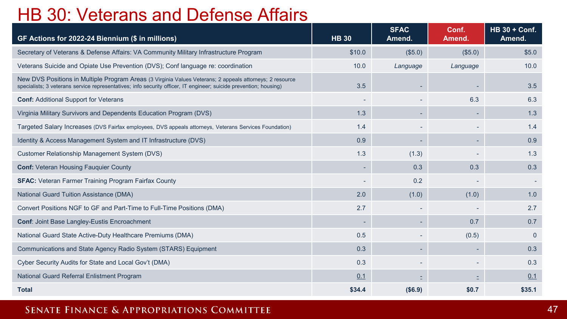### HB 30: Veterans and Defense Affairs

| GF Actions for 2022-24 Biennium (\$ in millions)                                                                                                                                                                              | <b>HB 30</b> | <b>SFAC</b><br>Amend. | Conf.<br>Amend. | <b>HB 30 + Conf.</b><br>Amend. |
|-------------------------------------------------------------------------------------------------------------------------------------------------------------------------------------------------------------------------------|--------------|-----------------------|-----------------|--------------------------------|
| Secretary of Veterans & Defense Affairs: VA Community Military Infrastructure Program                                                                                                                                         | \$10.0       | (\$5.0)               | (\$5.0)         | \$5.0                          |
| Veterans Suicide and Opiate Use Prevention (DVS); Conf language re: coordination                                                                                                                                              | 10.0         | Language              | Language        | 10.0                           |
| New DVS Positions in Multiple Program Areas (3 Virginia Values Veterans; 2 appeals attorneys; 2 resource<br>specialists; 3 veterans service representatives; info security officer, IT engineer; suicide prevention; housing) | 3.5          |                       |                 | 3.5                            |
| <b>Conf: Additional Support for Veterans</b>                                                                                                                                                                                  |              |                       | 6.3             | 6.3                            |
| Virginia Military Survivors and Dependents Education Program (DVS)                                                                                                                                                            | 1.3          |                       |                 | 1.3                            |
| Targeted Salary Increases (DVS Fairfax employees, DVS appeals attorneys, Veterans Services Foundation)                                                                                                                        | 1.4          |                       |                 | 1.4                            |
| Identity & Access Management System and IT Infrastructure (DVS)                                                                                                                                                               | 0.9          |                       |                 | 0.9                            |
| Customer Relationship Management System (DVS)                                                                                                                                                                                 | 1.3          | (1.3)                 |                 | 1.3                            |
| <b>Conf: Veteran Housing Fauquier County</b>                                                                                                                                                                                  |              | 0.3                   | 0.3             | 0.3                            |
| <b>SFAC:</b> Veteran Farmer Training Program Fairfax County                                                                                                                                                                   |              | 0.2                   |                 |                                |
| <b>National Guard Tuition Assistance (DMA)</b>                                                                                                                                                                                | 2.0          | (1.0)                 | (1.0)           | 1.0                            |
| Convert Positions NGF to GF and Part-Time to Full-Time Positions (DMA)                                                                                                                                                        | 2.7          |                       |                 | 2.7                            |
| <b>Conf: Joint Base Langley-Eustis Encroachment</b>                                                                                                                                                                           |              |                       | 0.7             | 0.7                            |
| National Guard State Active-Duty Healthcare Premiums (DMA)                                                                                                                                                                    | 0.5          |                       | (0.5)           | $\Omega$                       |
| Communications and State Agency Radio System (STARS) Equipment                                                                                                                                                                | 0.3          |                       |                 | 0.3                            |
| Cyber Security Audits for State and Local Gov't (DMA)                                                                                                                                                                         | 0.3          |                       |                 | 0.3                            |
| National Guard Referral Enlistment Program                                                                                                                                                                                    | 0.1          |                       |                 | 0.1                            |
| <b>Total</b>                                                                                                                                                                                                                  | \$34.4       | (\$6.9)               | \$0.7           | \$35.1                         |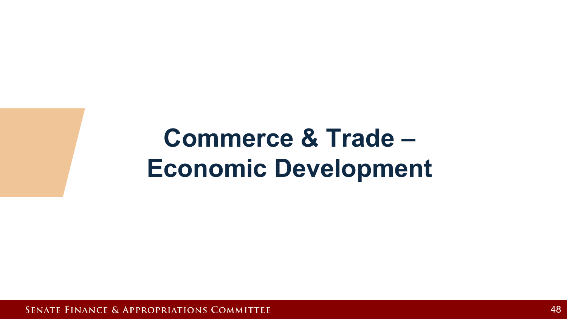# **Commerce & Trade – Economic Development**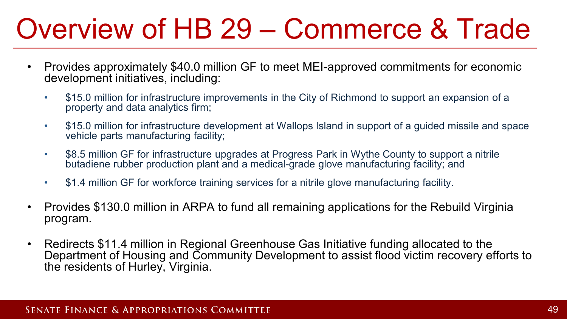# Overview of HB 29 – Commerce & Trade

- Provides approximately \$40.0 million GF to meet MEI-approved commitments for economic development initiatives, including:
	- \$15.0 million for infrastructure improvements in the City of Richmond to support an expansion of a property and data analytics firm;
	- \$15.0 million for infrastructure development at Wallops Island in support of a guided missile and space vehicle parts manufacturing facility;
	- \$8.5 million GF for infrastructure upgrades at Progress Park in Wythe County to support a nitrile butadiene rubber production plant and a medical-grade glove manufacturing facility; and
	- \$1.4 million GF for workforce training services for a nitrile glove manufacturing facility.
- Provides \$130.0 million in ARPA to fund all remaining applications for the Rebuild Virginia program.
- Redirects \$11.4 million in Regional Greenhouse Gas Initiative funding allocated to the Department of Housing and Community Development to assist flood victim recovery efforts to the residents of Hurley, Virginia.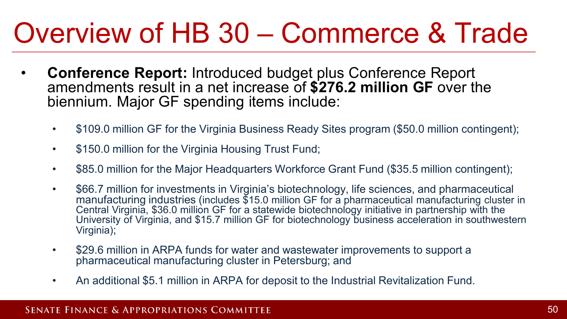# Overview of HB 30 – Commerce & Trade

- **Conference Report:** Introduced budget plus Conference Report amendments result in a net increase of **\$276.2 million GF** over the biennium. Major GF spending items include:
	- \$109.0 million GF for the Virginia Business Ready Sites program (\$50.0 million contingent);
	- \$150.0 million for the Virginia Housing Trust Fund;
	- \$85.0 million for the Major Headquarters Workforce Grant Fund (\$35.5 million contingent);
	- \$66.7 million for investments in Virginia's biotechnology, life sciences, and pharmaceutical manufacturing industries (includes \$15.0 million GF for a pharmaceutical manufacturing cluster in Central Virginia, \$36.0 million GF for a statewide biotechnology initiative in partnership with the University of Virginia, and \$15.7 million GF for biotechnology business acceleration in southwestern Virginia);
	- \$29.6 million in ARPA funds for water and wastewater improvements to support a pharmaceutical manufacturing cluster in Petersburg; and
	- An additional \$5.1 million in ARPA for deposit to the Industrial Revitalization Fund.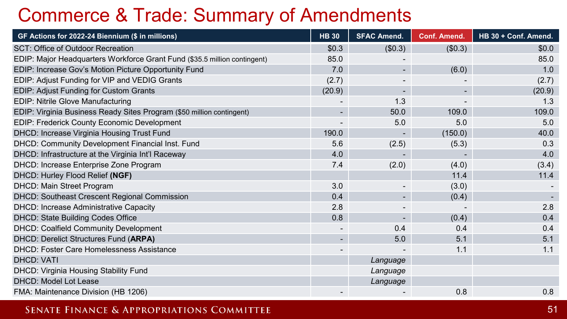### Commerce & Trade: Summary of Amendments

| GF Actions for 2022-24 Biennium (\$ in millions)                          | <b>HB</b> 30 | <b>SFAC Amend.</b> | <b>Conf. Amend.</b> | HB 30 + Conf. Amend. |
|---------------------------------------------------------------------------|--------------|--------------------|---------------------|----------------------|
| SCT: Office of Outdoor Recreation                                         | \$0.3\$      | (\$0.3)            | (\$0.3)             | \$0.0                |
| EDIP: Major Headquarters Workforce Grant Fund (\$35.5 million contingent) | 85.0         |                    |                     | 85.0                 |
| EDIP: Increase Gov's Motion Picture Opportunity Fund                      | 7.0          |                    | (6.0)               | 1.0                  |
| EDIP: Adjust Funding for VIP and VEDIG Grants                             | (2.7)        |                    |                     | (2.7)                |
| EDIP: Adjust Funding for Custom Grants                                    | (20.9)       |                    |                     | (20.9)               |
| <b>EDIP: Nitrile Glove Manufacturing</b>                                  |              | 1.3                |                     | 1.3                  |
| EDIP: Virginia Business Ready Sites Program (\$50 million contingent)     |              | 50.0               | 109.0               | 109.0                |
| EDIP: Frederick County Economic Development                               |              | 5.0                | 5.0                 | 5.0                  |
| DHCD: Increase Virginia Housing Trust Fund                                | 190.0        |                    | (150.0)             | 40.0                 |
| DHCD: Community Development Financial Inst. Fund                          | 5.6          | (2.5)              | (5.3)               | 0.3                  |
| DHCD: Infrastructure at the Virginia Int'l Raceway                        | 4.0          |                    |                     | 4.0                  |
| DHCD: Increase Enterprise Zone Program                                    | 7.4          | (2.0)              | (4.0)               | (3.4)                |
| DHCD: Hurley Flood Relief (NGF)                                           |              |                    | 11.4                | 11.4                 |
| DHCD: Main Street Program                                                 | 3.0          |                    | (3.0)               |                      |
| DHCD: Southeast Crescent Regional Commission                              | 0.4          |                    | (0.4)               |                      |
| DHCD: Increase Administrative Capacity                                    | 2.8          |                    |                     | 2.8                  |
| DHCD: State Building Codes Office                                         | 0.8          |                    | (0.4)               | 0.4                  |
| <b>DHCD: Coalfield Community Development</b>                              |              | 0.4                | 0.4                 | 0.4                  |
| DHCD: Derelict Structures Fund (ARPA)                                     |              | 5.0                | 5.1                 | 5.1                  |
| <b>DHCD: Foster Care Homelessness Assistance</b>                          |              |                    | 1.1                 | 1.1                  |
| <b>DHCD: VATI</b>                                                         |              | Language           |                     |                      |
| DHCD: Virginia Housing Stability Fund                                     |              | Language           |                     |                      |
| DHCD: Model Lot Lease                                                     |              | Language           |                     |                      |
| FMA: Maintenance Division (HB 1206)                                       |              |                    | 0.8                 | 0.8                  |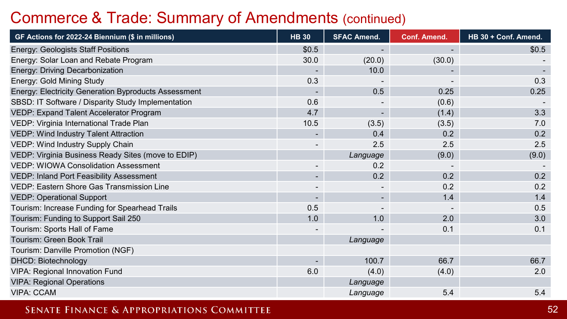### Commerce & Trade: Summary of Amendments (continued)

| GF Actions for 2022-24 Biennium (\$ in millions)     | <b>HB 30</b>             | <b>SFAC Amend.</b> | Conf. Amend.             | HB 30 + Conf. Amend. |
|------------------------------------------------------|--------------------------|--------------------|--------------------------|----------------------|
| Energy: Geologists Staff Positions                   | \$0.5                    |                    | $\blacksquare$           | \$0.5                |
| Energy: Solar Loan and Rebate Program                | 30.0                     | (20.0)             | (30.0)                   |                      |
| Energy: Driving Decarbonization                      |                          | 10.0               |                          |                      |
| Energy: Gold Mining Study                            | 0.3                      |                    |                          | 0.3                  |
| Energy: Electricity Generation Byproducts Assessment |                          | 0.5                | 0.25                     | 0.25                 |
| SBSD: IT Software / Disparity Study Implementation   | 0.6                      |                    | (0.6)                    |                      |
| VEDP: Expand Talent Accelerator Program              | 4.7                      |                    | (1.4)                    | 3.3                  |
| VEDP: Virginia International Trade Plan              | 10.5                     | (3.5)              | (3.5)                    | 7.0                  |
| <b>VEDP: Wind Industry Talent Attraction</b>         | $\blacksquare$           | 0.4                | 0.2                      | 0.2                  |
| VEDP: Wind Industry Supply Chain                     |                          | 2.5                | 2.5                      | 2.5                  |
| VEDP: Virginia Business Ready Sites (move to EDIP)   |                          | Language           | (9.0)                    | (9.0)                |
| <b>VEDP: WIOWA Consolidation Assessment</b>          |                          | 0.2                |                          |                      |
| VEDP: Inland Port Feasibility Assessment             | $\blacksquare$           | 0.2                | 0.2                      | 0.2                  |
| VEDP: Eastern Shore Gas Transmission Line            | $\overline{\phantom{a}}$ |                    | 0.2                      | 0.2                  |
| <b>VEDP: Operational Support</b>                     | $\overline{\phantom{a}}$ | ٠                  | 1.4                      | 1.4                  |
| Tourism: Increase Funding for Spearhead Trails       | 0.5                      |                    | $\overline{\phantom{a}}$ | 0.5                  |
| Tourism: Funding to Support Sail 250                 | 1.0                      | 1.0                | 2.0                      | 3.0                  |
| Tourism: Sports Hall of Fame                         | $\overline{\phantom{a}}$ |                    | 0.1                      | 0.1                  |
| Tourism: Green Book Trail                            |                          | Language           |                          |                      |
| Tourism: Danville Promotion (NGF)                    |                          |                    |                          |                      |
| <b>DHCD: Biotechnology</b>                           |                          | 100.7              | 66.7                     | 66.7                 |
| <b>VIPA: Regional Innovation Fund</b>                | 6.0                      | (4.0)              | (4.0)                    | 2.0                  |
| <b>VIPA: Regional Operations</b>                     |                          | Language           |                          |                      |
| <b>VIPA: CCAM</b>                                    |                          | Language           | 5.4                      | 5.4                  |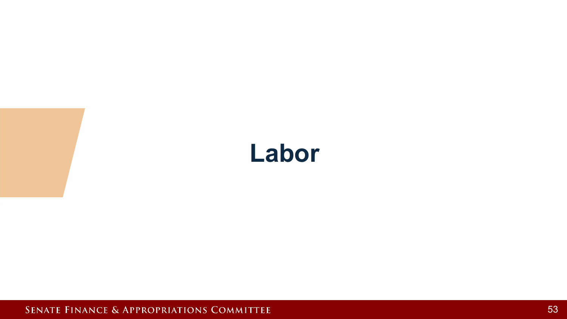## **Labor**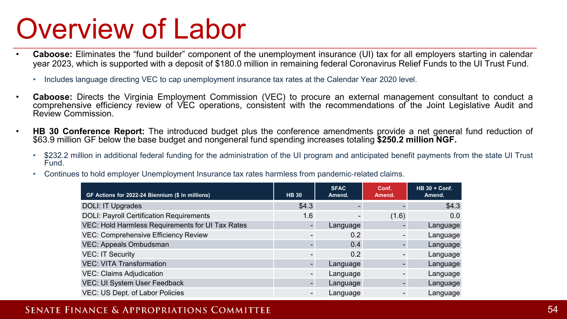# Overview of Labor

- **Caboose:** Eliminates the "fund builder" component of the unemployment insurance (UI) tax for all employers starting in calendar year 2023, which is supported with a deposit of \$180.0 million in remaining federal Coronavirus Relief Funds to the UI Trust Fund.
	- Includes language directing VEC to cap unemployment insurance tax rates at the Calendar Year 2020 level.
- **Caboose:** Directs the Virginia Employment Commission (VEC) to procure an external management consultant to conduct a comprehensive efficiency review of VEC operations, consistent with the recommendations of the Joint Legislative Audit and Review Commission.
- **HB 30 Conference Report:** The introduced budget plus the conference amendments provide a net general fund reduction of \$63.9 million GF below the base budget and nongeneral fund spending increases totaling **\$250.2 million NGF.**
	- \$232.2 million in additional federal funding for the administration of the UI program and anticipated benefit payments from the state UI Trust Fund.
	- Continues to hold employer Unemployment Insurance tax rates harmless from pandemic-related claims.

| GF Actions for 2022-24 Biennium (\$ in millions) | <b>HB 30</b>   | <b>SFAC</b><br>Amend. | Conf.<br>Amend. | <b>HB 30 + Conf.</b><br>Amend. |
|--------------------------------------------------|----------------|-----------------------|-----------------|--------------------------------|
| DOLI: IT Upgrades                                | \$4.3          |                       |                 | \$4.3                          |
| <b>DOLI: Payroll Certification Requirements</b>  | 1.6            |                       | (1.6)           | 0.0                            |
| VEC: Hold Harmless Requirements for UI Tax Rates |                | Language              |                 | Language                       |
| <b>VEC: Comprehensive Efficiency Review</b>      |                | 0.2                   |                 | Language                       |
| VEC: Appeals Ombudsman                           |                | 0.4                   |                 | Language                       |
| <b>VEC: IT Security</b>                          |                | 0.2                   |                 | Language                       |
| <b>VEC: VITA Transformation</b>                  |                | Language              |                 | Language                       |
| <b>VEC: Claims Adjudication</b>                  |                | Language              |                 | Language                       |
| VEC: UI System User Feedback                     |                | Language              |                 | Language                       |
| VEC: US Dept. of Labor Policies                  | $\blacksquare$ | Language              |                 | Language                       |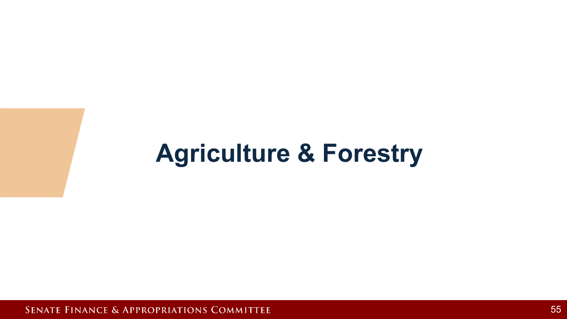## **Agriculture & Forestry**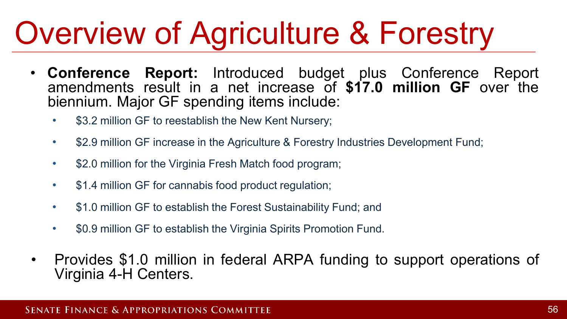# Overview of Agriculture & Forestry

- **Conference Report:** Introduced budget plus Conference Report amendments result in a net increase of **\$17.0 million GF** over the biennium. Major GF spending items include:
	- \$3.2 million GF to reestablish the New Kent Nursery;
	- \$2.9 million GF increase in the Agriculture & Forestry Industries Development Fund;
	- \$2.0 million for the Virginia Fresh Match food program;
	- \$1.4 million GF for cannabis food product regulation;
	- \$1.0 million GF to establish the Forest Sustainability Fund; and
	- \$0.9 million GF to establish the Virginia Spirits Promotion Fund.
- Provides \$1.0 million in federal ARPA funding to support operations of Virginia 4-H Centers.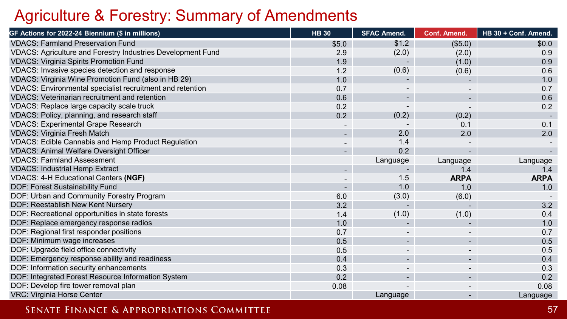### Agriculture & Forestry: Summary of Amendments

| GF Actions for 2022-24 Biennium (\$ in millions)            | <b>HB 30</b>             | <b>SFAC Amend.</b>       | <b>Conf. Amend.</b> | HB 30 + Conf. Amend. |
|-------------------------------------------------------------|--------------------------|--------------------------|---------------------|----------------------|
| <b>VDACS: Farmland Preservation Fund</b>                    | \$5.0                    | \$1.2                    | (\$5.0)             | \$0.0                |
| VDACS: Agriculture and Forestry Industries Development Fund | 2.9                      | (2.0)                    | (2.0)               | 0.9                  |
| <b>VDACS: Virginia Spirits Promotion Fund</b>               | 1.9                      |                          | (1.0)               | 0.9                  |
| VDACS: Invasive species detection and response              | 1.2                      | (0.6)                    | (0.6)               | 0.6                  |
| VDACS: Virginia Wine Promotion Fund (also in HB 29)         | 1.0                      |                          |                     | 1.0                  |
| VDACS: Environmental specialist recruitment and retention   | 0.7                      |                          |                     | 0.7                  |
| VDACS: Veterinarian recruitment and retention               | 0.6                      |                          |                     | 0.6                  |
| VDACS: Replace large capacity scale truck                   | 0.2                      |                          |                     | 0.2                  |
| VDACS: Policy, planning, and research staff                 | 0.2                      | (0.2)                    | (0.2)               |                      |
| <b>VDACS: Experimental Grape Research</b>                   | $\overline{\phantom{a}}$ |                          | 0.1                 | 0.1                  |
| <b>VDACS: Virginia Fresh Match</b>                          | ۰.                       | 2.0                      | 2.0                 | 2.0                  |
| <b>VDACS: Edible Cannabis and Hemp Product Regulation</b>   | $\overline{\phantom{a}}$ | 1.4                      |                     |                      |
| <b>VDACS: Animal Welfare Oversight Officer</b>              | $\overline{\phantom{0}}$ | 0.2                      |                     |                      |
| <b>VDACS: Farmland Assessment</b>                           |                          | Language                 | Language            | Language             |
| <b>VDACS: Industrial Hemp Extract</b>                       | $\blacksquare$           |                          | 1.4                 | 1.4                  |
| <b>VDACS: 4-H Educational Centers (NGF)</b>                 | -                        | 1.5                      | <b>ARPA</b>         | <b>ARPA</b>          |
| DOF: Forest Sustainability Fund                             | $\blacksquare$           | 1.0                      | 1.0                 | 1.0                  |
| DOF: Urban and Community Forestry Program                   | 6.0                      | (3.0)                    | (6.0)               |                      |
| DOF: Reestablish New Kent Nursery                           | 3.2                      |                          |                     | 3.2                  |
| DOF: Recreational opportunities in state forests            | 1.4                      | (1.0)                    | (1.0)               | 0.4                  |
| DOF: Replace emergency response radios                      | 1.0                      |                          |                     | 1.0                  |
| DOF: Regional first responder positions                     | 0.7                      |                          |                     | 0.7                  |
| DOF: Minimum wage increases                                 | 0.5                      | $\overline{\phantom{a}}$ |                     | 0.5                  |
| DOF: Upgrade field office connectivity                      | 0.5                      |                          |                     | 0.5                  |
| DOF: Emergency response ability and readiness               | 0.4                      | $\blacksquare$           |                     | 0.4                  |
| DOF: Information security enhancements                      | 0.3                      |                          |                     | 0.3                  |
| DOF: Integrated Forest Resource Information System          | 0.2                      | $\overline{\phantom{a}}$ |                     | 0.2                  |
| DOF: Develop fire tower removal plan                        | 0.08                     |                          |                     | 0.08                 |
| <b>VRC: Virginia Horse Center</b>                           |                          | Language                 | ۰.                  | Language             |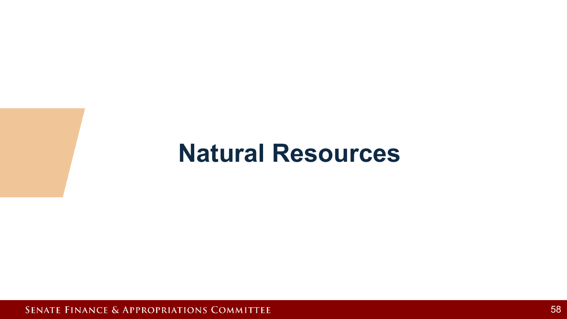## **Natural Resources**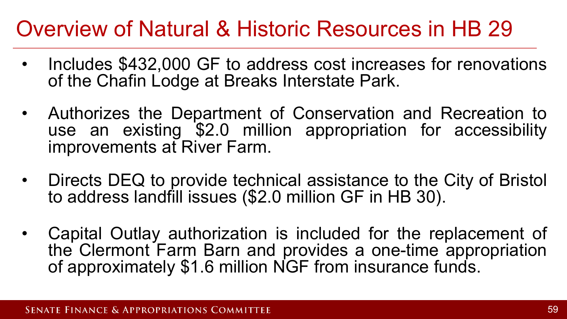## Overview of Natural & Historic Resources in HB 29

- Includes \$432,000 GF to address cost increases for renovations of the Chafin Lodge at Breaks Interstate Park.
- Authorizes the Department of Conservation and Recreation to use an existing \$2.0 million appropriation for accessibility improvements at River Farm.
- Directs DEQ to provide technical assistance to the City of Bristol to address landfill issues (\$2.0 million GF in HB 30).
- Capital Outlay authorization is included for the replacement of the Clermont Farm Barn and provides a one-time appropriation of approximately \$1.6 million NGF from insurance funds.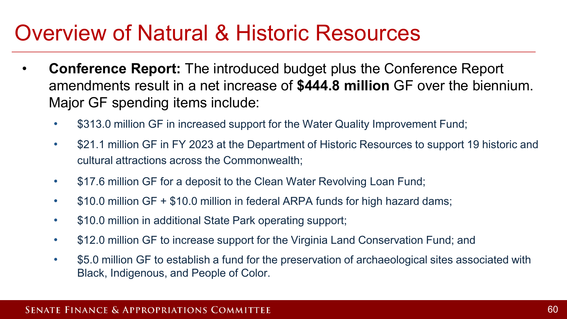## Overview of Natural & Historic Resources

- **Conference Report:** The introduced budget plus the Conference Report amendments result in a net increase of **\$444.8 million** GF over the biennium. Major GF spending items include:
	- \$313.0 million GF in increased support for the Water Quality Improvement Fund;
	- \$21.1 million GF in FY 2023 at the Department of Historic Resources to support 19 historic and cultural attractions across the Commonwealth;
	- \$17.6 million GF for a deposit to the Clean Water Revolving Loan Fund;
	- \$10.0 million GF + \$10.0 million in federal ARPA funds for high hazard dams;
	- \$10.0 million in additional State Park operating support;
	- \$12.0 million GF to increase support for the Virginia Land Conservation Fund; and
	- \$5.0 million GF to establish a fund for the preservation of archaeological sites associated with Black, Indigenous, and People of Color.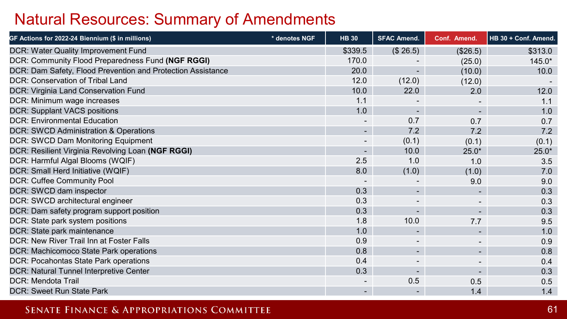### Natural Resources: Summary of Amendments

| GF Actions for 2022-24 Biennium (\$ in millions)            | * denotes NGF | <b>HB 30</b>             | <b>SFAC Amend.</b> | Conf. Amend.             | HB 30 + Conf. Amend. |
|-------------------------------------------------------------|---------------|--------------------------|--------------------|--------------------------|----------------------|
| <b>DCR: Water Quality Improvement Fund</b>                  |               | \$339.5                  | (\$26.5)           | (\$26.5)                 | \$313.0              |
| DCR: Community Flood Preparedness Fund (NGF RGGI)           |               | 170.0                    |                    | (25.0)                   | $145.0*$             |
| DCR: Dam Safety, Flood Prevention and Protection Assistance |               | 20.0                     |                    | (10.0)                   | 10.0                 |
| DCR: Conservation of Tribal Land                            |               | 12.0                     | (12.0)             | (12.0)                   |                      |
| DCR: Virginia Land Conservation Fund                        |               | 10.0                     | 22.0               | 2.0                      | 12.0                 |
| DCR: Minimum wage increases                                 |               | 1.1                      |                    |                          | 1.1                  |
| <b>DCR: Supplant VACS positions</b>                         |               | 1.0                      | ٠                  | $\overline{\phantom{a}}$ | 1.0                  |
| <b>DCR: Environmental Education</b>                         |               |                          | 0.7                | 0.7                      | 0.7                  |
| DCR: SWCD Administration & Operations                       |               | $\sim$                   | 7.2                | 7.2                      | 7.2                  |
| DCR: SWCD Dam Monitoring Equipment                          |               |                          | (0.1)              | (0.1)                    | (0.1)                |
| DCR: Resilient Virginia Revolving Loan (NGF RGGI)           |               | $\overline{\phantom{a}}$ | 10.0               | $25.0*$                  | $25.0*$              |
| DCR: Harmful Algal Blooms (WQIF)                            |               | 2.5                      | 1.0                | 1.0                      | 3.5                  |
| DCR: Small Herd Initiative (WQIF)                           |               | 8.0                      | (1.0)              | (1.0)                    | 7.0                  |
| <b>DCR: Cuffee Community Pool</b>                           |               |                          |                    | 9.0                      | 9.0                  |
| DCR: SWCD dam inspector                                     |               | 0.3                      |                    |                          | 0.3                  |
| DCR: SWCD architectural engineer                            |               | 0.3                      |                    |                          | 0.3                  |
| DCR: Dam safety program support position                    |               | 0.3                      | ۰.                 | $\blacksquare$           | 0.3                  |
| DCR: State park system positions                            |               | 1.8                      | 10.0               | 7.7                      | 9.5                  |
| DCR: State park maintenance                                 |               | 1.0                      | $\blacksquare$     | $\blacksquare$           | 1.0                  |
| DCR: New River Trail Inn at Foster Falls                    |               | 0.9                      |                    |                          | 0.9                  |
| DCR: Machicomoco State Park operations                      |               | 0.8                      | $\blacksquare$     | ٠                        | 0.8                  |
| DCR: Pocahontas State Park operations                       |               | 0.4                      |                    |                          | 0.4                  |
| DCR: Natural Tunnel Interpretive Center                     |               | 0.3                      |                    |                          | 0.3                  |
| <b>DCR: Mendota Trail</b>                                   |               | $\overline{\phantom{a}}$ | 0.5                | 0.5                      | 0.5                  |
| <b>DCR: Sweet Run State Park</b>                            |               | $\sim$                   |                    | 1.4                      | 1.4                  |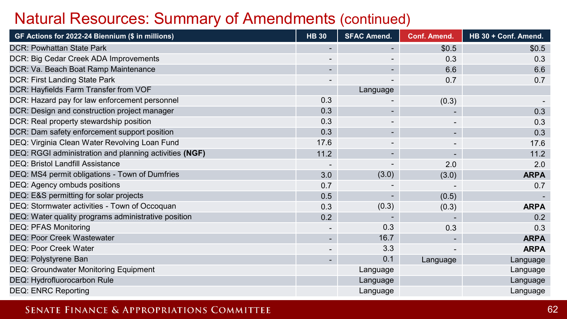### Natural Resources: Summary of Amendments (continued)

| GF Actions for 2022-24 Biennium (\$ in millions)       | <b>HB 30</b>             | <b>SFAC Amend.</b>       | <b>Conf. Amend.</b> | HB 30 + Conf. Amend. |
|--------------------------------------------------------|--------------------------|--------------------------|---------------------|----------------------|
| <b>DCR: Powhattan State Park</b>                       | $\blacksquare$           | ۰.                       | \$0.5               | \$0.5                |
| DCR: Big Cedar Creek ADA Improvements                  |                          |                          | 0.3                 | 0.3                  |
| DCR: Va. Beach Boat Ramp Maintenance                   |                          |                          | 6.6                 | 6.6                  |
| DCR: First Landing State Park                          |                          |                          | 0.7                 | 0.7                  |
| DCR: Hayfields Farm Transfer from VOF                  |                          | Language                 |                     |                      |
| DCR: Hazard pay for law enforcement personnel          | 0.3                      |                          | (0.3)               |                      |
| DCR: Design and construction project manager           | 0.3                      | ٠                        |                     | 0.3                  |
| DCR: Real property stewardship position                | 0.3                      |                          |                     | 0.3                  |
| DCR: Dam safety enforcement support position           | 0.3                      |                          |                     | 0.3                  |
| DEQ: Virginia Clean Water Revolving Loan Fund          | 17.6                     |                          |                     | 17.6                 |
| DEQ: RGGI administration and planning activities (NGF) | 11.2                     | ۰                        |                     | 11.2                 |
| <b>DEQ: Bristol Landfill Assistance</b>                |                          | $\overline{\phantom{a}}$ | 2.0                 | 2.0                  |
| DEQ: MS4 permit obligations - Town of Dumfries         | 3.0                      | (3.0)                    | (3.0)               | <b>ARPA</b>          |
| DEQ: Agency ombuds positions                           | 0.7                      |                          |                     | 0.7                  |
| DEQ: E&S permitting for solar projects                 | 0.5                      | ۰                        | (0.5)               |                      |
| DEQ: Stormwater activities - Town of Occoquan          | 0.3                      | (0.3)                    | (0.3)               | <b>ARPA</b>          |
| DEQ: Water quality programs administrative position    | 0.2                      |                          |                     | 0.2                  |
| <b>DEQ: PFAS Monitoring</b>                            | $\overline{\phantom{a}}$ | 0.3                      | 0.3                 | 0.3                  |
| <b>DEQ: Poor Creek Wastewater</b>                      | $\overline{\phantom{a}}$ | 16.7                     |                     | <b>ARPA</b>          |
| DEQ: Poor Creek Water                                  | $\overline{\phantom{a}}$ | 3.3                      |                     | <b>ARPA</b>          |
| DEQ: Polystyrene Ban                                   | $\overline{\phantom{a}}$ | 0.1                      | Language            | Language             |
| <b>DEQ: Groundwater Monitoring Equipment</b>           |                          | Language                 |                     | Language             |
| DEQ: Hydrofluorocarbon Rule                            |                          | Language                 |                     | Language             |
| <b>DEQ: ENRC Reporting</b>                             |                          | Language                 |                     | Language             |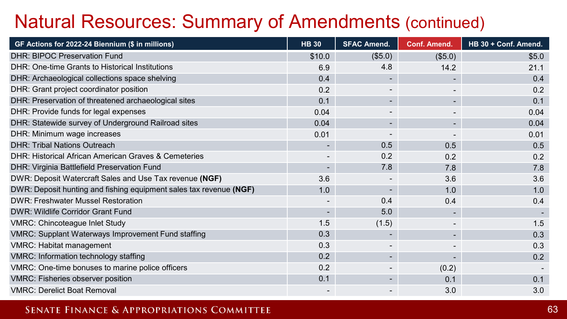### Natural Resources: Summary of Amendments (continued)

| GF Actions for 2022-24 Biennium (\$ in millions)                   | <b>HB 30</b>             | <b>SFAC Amend.</b> | <b>Conf. Amend.</b> | HB 30 + Conf. Amend. |
|--------------------------------------------------------------------|--------------------------|--------------------|---------------------|----------------------|
| <b>DHR: BIPOC Preservation Fund</b>                                | \$10.0                   | (\$5.0)            | (\$5.0)             | \$5.0                |
| DHR: One-time Grants to Historical Institutions                    | 6.9                      | 4.8                | 14.2                | 21.1                 |
| DHR: Archaeological collections space shelving                     | 0.4                      |                    |                     | 0.4                  |
| DHR: Grant project coordinator position                            | 0.2                      |                    |                     | 0.2                  |
| DHR: Preservation of threatened archaeological sites               | 0.1                      | ۰.                 |                     | 0.1                  |
| DHR: Provide funds for legal expenses                              | 0.04                     |                    |                     | 0.04                 |
| DHR: Statewide survey of Underground Railroad sites                | 0.04                     | ۰.                 |                     | 0.04                 |
| DHR: Minimum wage increases                                        | 0.01                     |                    |                     | 0.01                 |
| <b>DHR: Tribal Nations Outreach</b>                                |                          | 0.5                | 0.5                 | 0.5                  |
| DHR: Historical African American Graves & Cemeteries               | $\overline{\phantom{a}}$ | 0.2                | 0.2                 | 0.2                  |
| DHR: Virginia Battlefield Preservation Fund                        | ٠                        | 7.8                | 7.8                 | 7.8                  |
| DWR: Deposit Watercraft Sales and Use Tax revenue (NGF)            | 3.6                      |                    | 3.6                 | 3.6                  |
| DWR: Deposit hunting and fishing equipment sales tax revenue (NGF) | 1.0                      |                    | 1.0                 | 1.0                  |
| <b>DWR: Freshwater Mussel Restoration</b>                          | $\overline{\phantom{a}}$ | 0.4                | 0.4                 | 0.4                  |
| DWR: Wildlife Corridor Grant Fund                                  | ٠                        | 5.0                |                     |                      |
| <b>VMRC: Chincoteague Inlet Study</b>                              | 1.5                      | (1.5)              |                     | 1.5                  |
| <b>VMRC: Supplant Waterways Improvement Fund staffing</b>          | 0.3                      |                    |                     | 0.3                  |
| <b>VMRC: Habitat management</b>                                    | 0.3                      |                    |                     | 0.3                  |
| VMRC: Information technology staffing                              | 0.2                      | ٠                  |                     | 0.2                  |
| VMRC: One-time bonuses to marine police officers                   | 0.2                      |                    | (0.2)               |                      |
| VMRC: Fisheries observer position                                  | 0.1                      |                    | 0.1                 | 0.1                  |
| <b>VMRC: Derelict Boat Removal</b>                                 |                          |                    | 3.0                 | 3.0                  |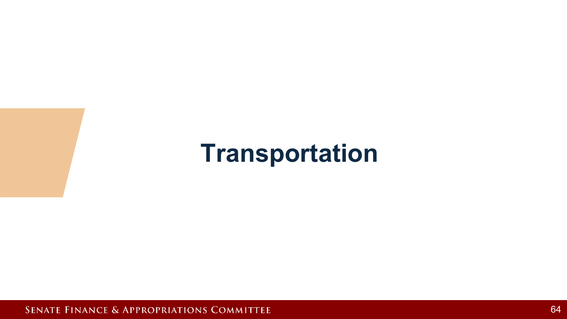## **Transportation**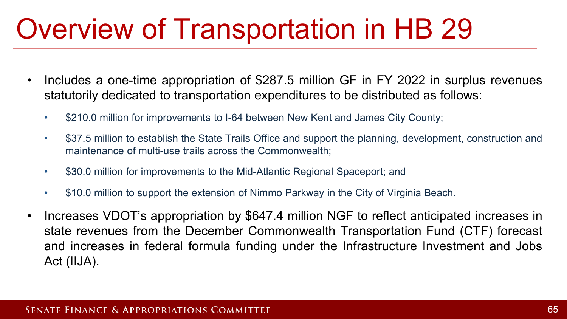# Overview of Transportation in HB 29

- Includes a one-time appropriation of \$287.5 million GF in FY 2022 in surplus revenues statutorily dedicated to transportation expenditures to be distributed as follows:
	- \$210.0 million for improvements to I-64 between New Kent and James City County;
	- \$37.5 million to establish the State Trails Office and support the planning, development, construction and maintenance of multi-use trails across the Commonwealth;
	- \$30.0 million for improvements to the Mid-Atlantic Regional Spaceport; and
	- \$10.0 million to support the extension of Nimmo Parkway in the City of Virginia Beach.
- Increases VDOT's appropriation by \$647.4 million NGF to reflect anticipated increases in state revenues from the December Commonwealth Transportation Fund (CTF) forecast and increases in federal formula funding under the Infrastructure Investment and Jobs Act (IIJA).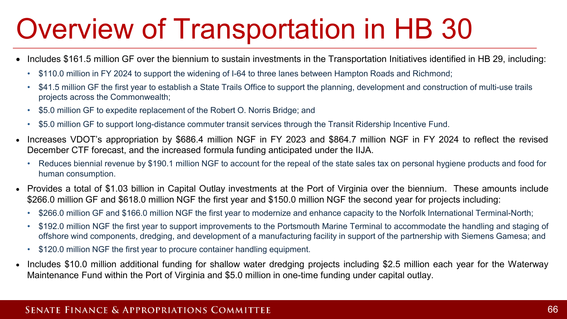# Overview of Transportation in HB 30

- Includes \$161.5 million GF over the biennium to sustain investments in the Transportation Initiatives identified in HB 29, including:
	- \$110.0 million in FY 2024 to support the widening of I-64 to three lanes between Hampton Roads and Richmond;
	- \$41.5 million GF the first year to establish a State Trails Office to support the planning, development and construction of multi-use trails projects across the Commonwealth;
	- \$5.0 million GF to expedite replacement of the Robert O. Norris Bridge; and
	- \$5.0 million GF to support long-distance commuter transit services through the Transit Ridership Incentive Fund.
- Increases VDOT's appropriation by \$686.4 million NGF in FY 2023 and \$864.7 million NGF in FY 2024 to reflect the revised December CTF forecast, and the increased formula funding anticipated under the IIJA.
	- Reduces biennial revenue by \$190.1 million NGF to account for the repeal of the state sales tax on personal hygiene products and food for human consumption.
- Provides a total of \$1.03 billion in Capital Outlay investments at the Port of Virginia over the biennium. These amounts include \$266.0 million GF and \$618.0 million NGF the first year and \$150.0 million NGF the second year for projects including:
	- \$266.0 million GF and \$166.0 million NGF the first year to modernize and enhance capacity to the Norfolk International Terminal-North;
	- \$192.0 million NGF the first year to support improvements to the Portsmouth Marine Terminal to accommodate the handling and staging of offshore wind components, dredging, and development of a manufacturing facility in support of the partnership with Siemens Gamesa; and
	- \$120.0 million NGF the first year to procure container handling equipment.
- Includes \$10.0 million additional funding for shallow water dredging projects including \$2.5 million each year for the Waterway Maintenance Fund within the Port of Virginia and \$5.0 million in one-time funding under capital outlay.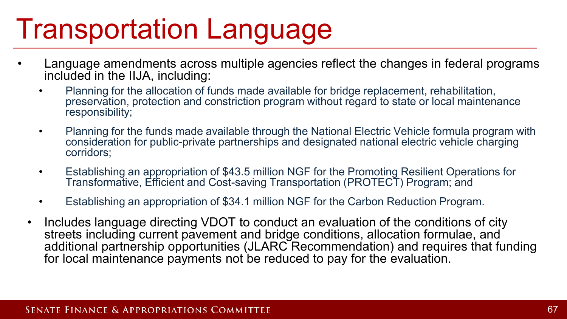# Transportation Language

- Language amendments across multiple agencies reflect the changes in federal programs included in the IIJA, including:
	- Planning for the allocation of funds made available for bridge replacement, rehabilitation, preservation, protection and constriction program without regard to state or local maintenance responsibility;
	- Planning for the funds made available through the National Electric Vehicle formula program with consideration for public-private partnerships and designated national electric vehicle charging corridors;
	- Establishing an appropriation of \$43.5 million NGF for the Promoting Resilient Operations for Transformative, Efficient and Cost-saving Transportation (PROTECT) Program; and
	- Establishing an appropriation of \$34.1 million NGF for the Carbon Reduction Program.
	- Includes language directing VDOT to conduct an evaluation of the conditions of city streets including current pavement and bridge conditions, allocation formulae, and additional partnership opportunities (JLARC Recommendation) and requires that funding for local maintenance payments not be reduced to pay for the evaluation.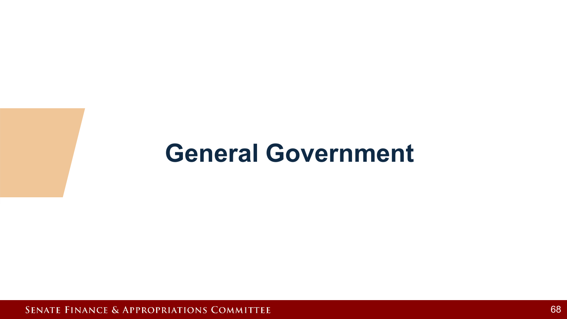## **General Government**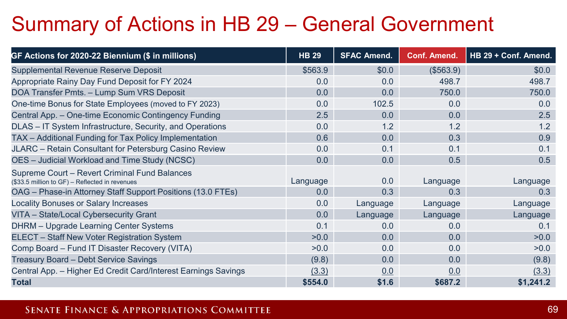## Summary of Actions in HB 29 – General Government

| GF Actions for 2020-22 Biennium (\$ in millions)                                                | <b>HB 29</b> | <b>SFAC Amend.</b> | <b>Conf. Amend.</b> | HB 29 + Conf. Amend. |
|-------------------------------------------------------------------------------------------------|--------------|--------------------|---------------------|----------------------|
| Supplemental Revenue Reserve Deposit                                                            | \$563.9      | \$0.0\$            | (\$563.9)           | \$0.0                |
| Appropriate Rainy Day Fund Deposit for FY 2024                                                  | 0.0          | 0.0                | 498.7               | 498.7                |
| DOA Transfer Pmts. - Lump Sum VRS Deposit                                                       | 0.0          | 0.0                | 750.0               | 750.0                |
| One-time Bonus for State Employees (moved to FY 2023)                                           | 0.0          | 102.5              | 0.0                 | 0.0                  |
| Central App. - One-time Economic Contingency Funding                                            | 2.5          | 0.0                | 0.0                 | 2.5                  |
| DLAS - IT System Infrastructure, Security, and Operations                                       | 0.0          | 1.2                | 1.2                 | 1.2                  |
| TAX - Additional Funding for Tax Policy Implementation                                          | 0.6          | 0.0                | 0.3                 | 0.9                  |
| JLARC - Retain Consultant for Petersburg Casino Review                                          | 0.0          | 0.1                | 0.1                 | 0.1                  |
| OES - Judicial Workload and Time Study (NCSC)                                                   | 0.0          | 0.0                | 0.5                 | 0.5                  |
| Supreme Court - Revert Criminal Fund Balances<br>(\$33.5 million to GF) - Reflected in revenues | Language     | 0.0                | Language            | Language             |
| OAG - Phase-in Attorney Staff Support Positions (13.0 FTEs)                                     | 0.0          | 0.3                | 0.3                 | 0.3                  |
| Locality Bonuses or Salary Increases                                                            | 0.0          | Language           | Language            | Language             |
| VITA - State/Local Cybersecurity Grant                                                          | 0.0          | Language           | Language            | Language             |
| DHRM - Upgrade Learning Center Systems                                                          | 0.1          | 0.0                | 0.0                 | 0.1                  |
| ELECT - Staff New Voter Registration System                                                     | >0.0         | 0.0                | 0.0                 | >0.0                 |
| Comp Board - Fund IT Disaster Recovery (VITA)                                                   | >0.0         | 0.0                | 0.0                 | >0.0                 |
| Treasury Board - Debt Service Savings                                                           | (9.8)        | 0.0                | 0.0                 | (9.8)                |
| Central App. - Higher Ed Credit Card/Interest Earnings Savings                                  | (3.3)        | 0.0                | 0.0                 | (3.3)                |
| <b>Total</b>                                                                                    | \$554.0      | \$1.6              | \$687.2             | \$1,241.2            |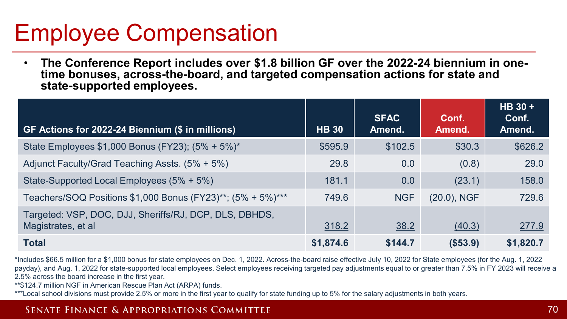## Employee Compensation

• **The Conference Report includes over \$1.8 billion GF over the 2022-24 biennium in one- time bonuses, across-the-board, and targeted compensation actions for state and state-supported employees.** 

| GF Actions for 2022-24 Biennium (\$ in millions)                             | <b>HB 30</b> | <b>SFAC</b><br>Amend. | Conf.<br>Amend. | HB 30 +<br>Conf.<br>Amend. |
|------------------------------------------------------------------------------|--------------|-----------------------|-----------------|----------------------------|
| State Employees \$1,000 Bonus (FY23); (5% + 5%)*                             | \$595.9      | \$102.5               | \$30.3          | \$626.2                    |
| Adjunct Faculty/Grad Teaching Assts. (5% + 5%)                               | 29.8         | 0.0                   | (0.8)           | 29.0                       |
| State-Supported Local Employees (5% + 5%)                                    | 181.1        | 0.0                   | (23.1)          | 158.0                      |
| Teachers/SOQ Positions \$1,000 Bonus (FY23)**; (5% + 5%)***                  | 749.6        | <b>NGF</b>            | $(20.0)$ , NGF  | 729.6                      |
| Targeted: VSP, DOC, DJJ, Sheriffs/RJ, DCP, DLS, DBHDS,<br>Magistrates, et al | 318.2        | 38.2                  | (40.3)          | 277.9                      |
| <b>Total</b>                                                                 | \$1,874.6    | \$144.7               | (\$53.9)        | \$1,820.7                  |

\*Includes \$66.5 million for a \$1,000 bonus for state employees on Dec. 1, 2022. Across-the-board raise effective July 10, 2022 for State employees (for the Aug. 1, 2022 payday), and Aug. 1, 2022 for state-supported local employees. Select employees receiving targeted pay adjustments equal to or greater than 7.5% in FY 2023 will receive a 2.5% across the board increase in the first year.

\*\*\$124.7 million NGF in American Rescue Plan Act (ARPA) funds.

\*\*\*Local school divisions must provide 2.5% or more in the first year to qualify for state funding up to 5% for the salary adjustments in both years.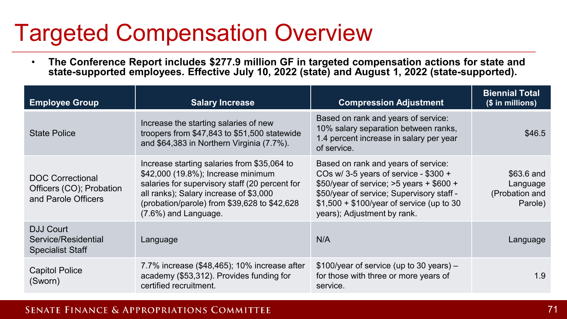## Targeted Compensation Overview

• **The Conference Report includes \$277.9 million GF in targeted compensation actions for state and state-supported employees. Effective July 10, 2022 (state) and August 1, 2022 (state-supported).**

| <b>Employee Group</b>                                                      | <b>Salary Increase</b>                                                                                                                                                                                                                                | <b>Compression Adjustment</b>                                                                                                                                                                                                                        | <b>Biennial Total</b><br>(\$ in millions)           |
|----------------------------------------------------------------------------|-------------------------------------------------------------------------------------------------------------------------------------------------------------------------------------------------------------------------------------------------------|------------------------------------------------------------------------------------------------------------------------------------------------------------------------------------------------------------------------------------------------------|-----------------------------------------------------|
| <b>State Police</b>                                                        | Increase the starting salaries of new<br>troopers from \$47,843 to \$51,500 statewide<br>and \$64,383 in Northern Virginia (7.7%).                                                                                                                    | Based on rank and years of service:<br>10% salary separation between ranks,<br>1.4 percent increase in salary per year<br>of service.                                                                                                                | \$46.5                                              |
| <b>DOC Correctional</b><br>Officers (CO); Probation<br>and Parole Officers | Increase starting salaries from \$35,064 to<br>\$42,000 (19.8%); Increase minimum<br>salaries for supervisory staff (20 percent for<br>all ranks); Salary increase of \$3,000<br>(probation/parole) from \$39,628 to \$42,628<br>(7.6%) and Language. | Based on rank and years of service:<br>COs w/ 3-5 years of service - $$300 +$<br>$$50$ /year of service; >5 years + \$600 +<br>\$50/year of service; Supervisory staff -<br>\$1,500 + \$100/year of service (up to 30<br>years); Adjustment by rank. | \$63.6 and<br>Language<br>(Probation and<br>Parole) |
| <b>DJJ Court</b><br>Service/Residential<br><b>Specialist Staff</b>         | Language                                                                                                                                                                                                                                              | N/A                                                                                                                                                                                                                                                  | Language                                            |
| <b>Capitol Police</b><br>(Sworn)                                           | 7.7% increase (\$48,465); 10% increase after<br>academy (\$53,312). Provides funding for<br>certified recruitment.                                                                                                                                    | $$100/year$ of service (up to 30 years) –<br>for those with three or more years of<br>service.                                                                                                                                                       | 1.9                                                 |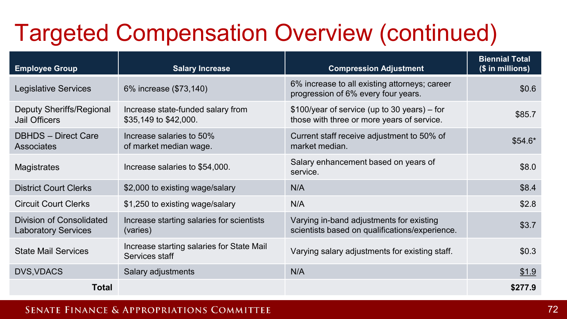## Targeted Compensation Overview (continued)

| <b>Employee Group</b>                                  | <b>Salary Increase</b>                                      | <b>Compression Adjustment</b>                                                              | <b>Biennial Total</b><br>(\$ in millions) |
|--------------------------------------------------------|-------------------------------------------------------------|--------------------------------------------------------------------------------------------|-------------------------------------------|
| Legislative Services                                   | 6% increase (\$73,140)                                      | 6% increase to all existing attorneys; career<br>progression of 6% every four years.       | \$0.6                                     |
| Deputy Sheriffs/Regional<br><b>Jail Officers</b>       | Increase state-funded salary from<br>\$35,149 to \$42,000.  | \$100/year of service (up to 30 years) – for<br>those with three or more years of service. | \$85.7                                    |
| <b>DBHDS</b> - Direct Care<br><b>Associates</b>        | Increase salaries to 50%<br>of market median wage.          | Current staff receive adjustment to 50% of<br>market median.                               | $$54.6*$                                  |
| Magistrates                                            | Increase salaries to \$54,000.                              | Salary enhancement based on years of<br>service.                                           | \$8.0                                     |
| <b>District Court Clerks</b>                           | \$2,000 to existing wage/salary                             | N/A                                                                                        | \$8.4                                     |
| <b>Circuit Court Clerks</b>                            | \$1,250 to existing wage/salary                             | N/A                                                                                        | \$2.8                                     |
| Division of Consolidated<br><b>Laboratory Services</b> | Increase starting salaries for scientists<br>(varies)       | Varying in-band adjustments for existing<br>scientists based on qualifications/experience. | \$3.7                                     |
| <b>State Mail Services</b>                             | Increase starting salaries for State Mail<br>Services staff | Varying salary adjustments for existing staff.                                             | \$0.3                                     |
| <b>DVS, VDACS</b>                                      | Salary adjustments                                          | N/A                                                                                        | \$1.9                                     |
| <b>Total</b>                                           |                                                             |                                                                                            | \$277.9                                   |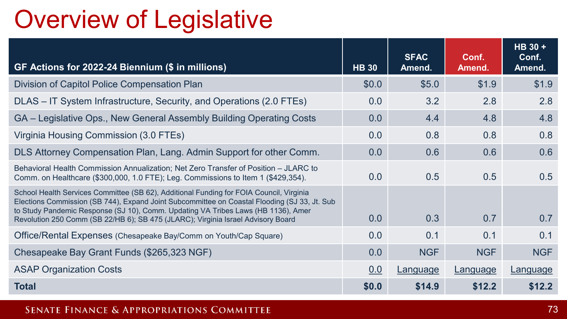## Overview of Legislative

| GF Actions for 2022-24 Biennium (\$ in millions)                                                                                                                                                                                                                                                                                                                 | <b>HB 30</b> | <b>SFAC</b><br>Amend. | Conf.<br>Amend. | HB 30 +<br>Conf.<br>Amend. |
|------------------------------------------------------------------------------------------------------------------------------------------------------------------------------------------------------------------------------------------------------------------------------------------------------------------------------------------------------------------|--------------|-----------------------|-----------------|----------------------------|
| Division of Capitol Police Compensation Plan                                                                                                                                                                                                                                                                                                                     | \$0.0        | \$5.0                 | \$1.9           | \$1.9                      |
| DLAS – IT System Infrastructure, Security, and Operations (2.0 FTEs)                                                                                                                                                                                                                                                                                             | 0.0          | 3.2                   | 2.8             | 2.8                        |
| GA – Legislative Ops., New General Assembly Building Operating Costs                                                                                                                                                                                                                                                                                             | 0.0          | 4.4                   | 4.8             | 4.8                        |
| Virginia Housing Commission (3.0 FTEs)                                                                                                                                                                                                                                                                                                                           | 0.0          | 0.8                   | 0.8             | 0.8                        |
| DLS Attorney Compensation Plan, Lang. Admin Support for other Comm.                                                                                                                                                                                                                                                                                              | 0.0          | 0.6                   | 0.6             | 0.6                        |
| Behavioral Health Commission Annualization; Net Zero Transfer of Position - JLARC to<br>Comm. on Healthcare (\$300,000, 1.0 FTE); Leg. Commissions to Item 1 (\$429,354).                                                                                                                                                                                        | 0.0          | 0.5                   | 0.5             | 0.5                        |
| School Health Services Committee (SB 62), Additional Funding for FOIA Council, Virginia<br>Elections Commission (SB 744), Expand Joint Subcommittee on Coastal Flooding (SJ 33, Jt. Sub<br>to Study Pandemic Response (SJ 10), Comm. Updating VA Tribes Laws (HB 1136), Amer<br>Revolution 250 Comm (SB 22/HB 6); SB 475 (JLARC); Virginia Israel Advisory Board | 0.0          | 0.3                   | 0.7             | 0.7                        |
| Office/Rental Expenses (Chesapeake Bay/Comm on Youth/Cap Square)                                                                                                                                                                                                                                                                                                 | 0.0          | 0.1                   | 0.1             | 0.1                        |
| Chesapeake Bay Grant Funds (\$265,323 NGF)                                                                                                                                                                                                                                                                                                                       | 0.0          | <b>NGF</b>            | <b>NGF</b>      | <b>NGF</b>                 |
| <b>ASAP Organization Costs</b>                                                                                                                                                                                                                                                                                                                                   | 0.0          | Language              | Language        | Language                   |
| <b>Total</b>                                                                                                                                                                                                                                                                                                                                                     | \$0.0        | \$14.9                | \$12.2          | \$12.2                     |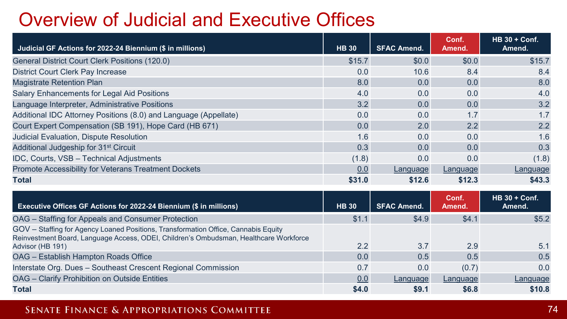### Overview of Judicial and Executive Offices

| Judicial GF Actions for 2022-24 Biennium (\$ in millions)        | <b>HB 30</b> | <b>SFAC Amend.</b> | Conf.<br>Amend. | <b>HB 30 + Conf.</b><br>Amend. |
|------------------------------------------------------------------|--------------|--------------------|-----------------|--------------------------------|
| General District Court Clerk Positions (120.0)                   | \$15.7       | \$0.0\$            | \$0.0           | \$15.7                         |
| <b>District Court Clerk Pay Increase</b>                         | 0.0          | 10.6               | 8.4             | 8.4                            |
| <b>Magistrate Retention Plan</b>                                 | 8.0          | 0.0                | 0.0             | 8.0                            |
| Salary Enhancements for Legal Aid Positions                      | 4.0          | 0.0                | 0.0             | 4.0                            |
| Language Interpreter, Administrative Positions                   | 3.2          | 0.0                | 0.0             | 3.2                            |
| Additional IDC Attorney Positions (8.0) and Language (Appellate) | 0.0          | 0.0                | 1.7             | 1.7                            |
| Court Expert Compensation (SB 191), Hope Card (HB 671)           | 0.0          | 2.0                | 2.2             | 2.2                            |
| Judicial Evaluation, Dispute Resolution                          | 1.6          | 0.0                | 0.0             | 1.6                            |
| Additional Judgeship for 31 <sup>st</sup> Circuit                | 0.3          | 0.0                | 0.0             | 0.3                            |
| IDC, Courts, VSB - Technical Adjustments                         | (1.8)        | 0.0                | 0.0             | (1.8)                          |
| Promote Accessibility for Veterans Treatment Dockets             | 0.0          | Language           | Language        | Language                       |
| <b>Total</b>                                                     | \$31.0       | \$12.6             | \$12.3          | \$43.3                         |

| <b>Executive Offices GF Actions for 2022-24 Biennium (\$ in millions)</b>                                                                                                   | <b>HB 30</b> | <b>SFAC Amend.</b> | Conf.<br>Amend. | $HB 30 + Cont.$<br>Amend. |
|-----------------------------------------------------------------------------------------------------------------------------------------------------------------------------|--------------|--------------------|-----------------|---------------------------|
| OAG - Staffing for Appeals and Consumer Protection                                                                                                                          | \$1.1        | \$4.9              | \$4.1           | \$5.2                     |
| GOV - Staffing for Agency Loaned Positions, Transformation Office, Cannabis Equity<br>Reinvestment Board, Language Access, ODEI, Children's Ombudsman, Healthcare Workforce | 2.2          | 3.7                | 2.9             | 5.1                       |
| Advisor (HB 191)                                                                                                                                                            |              |                    |                 |                           |
| OAG - Establish Hampton Roads Office                                                                                                                                        | 0.0          | 0.5                | 0.5             | 0.5                       |
| Interstate Org. Dues - Southeast Crescent Regional Commission                                                                                                               | 0.7          | 0.0                | (0.7)           | 0.0                       |
| OAG - Clarify Prohibition on Outside Entities                                                                                                                               | 0.0          | Language           | Language        | Language                  |
| <b>Total</b>                                                                                                                                                                | \$4.0        | \$9.1              | \$6.8           | \$10.8                    |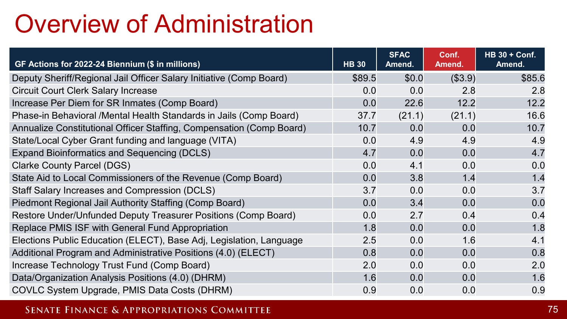### Overview of Administration

| GF Actions for 2022-24 Biennium (\$ in millions)                     | <b>HB 30</b> | <b>SFAC</b><br>Amend. | Conf.<br>Amend. | <b>HB 30 + Conf.</b><br>Amend. |
|----------------------------------------------------------------------|--------------|-----------------------|-----------------|--------------------------------|
| Deputy Sheriff/Regional Jail Officer Salary Initiative (Comp Board)  | \$89.5       | \$0.0                 | (\$3.9)         | \$85.6                         |
| <b>Circuit Court Clerk Salary Increase</b>                           | 0.0          | 0.0                   | 2.8             | 2.8                            |
| Increase Per Diem for SR Inmates (Comp Board)                        | 0.0          | 22.6                  | 12.2            | 12.2                           |
| Phase-in Behavioral /Mental Health Standards in Jails (Comp Board)   | 37.7         | (21.1)                | (21.1)          | 16.6                           |
| Annualize Constitutional Officer Staffing, Compensation (Comp Board) | 10.7         | 0.0                   | 0.0             | 10.7                           |
| State/Local Cyber Grant funding and language (VITA)                  | 0.0          | 4.9                   | 4.9             | 4.9                            |
| <b>Expand Bioinformatics and Sequencing (DCLS)</b>                   | 4.7          | 0.0                   | 0.0             | 4.7                            |
| <b>Clarke County Parcel (DGS)</b>                                    | 0.0          | 4.1                   | 0.0             | 0.0                            |
| State Aid to Local Commissioners of the Revenue (Comp Board)         | 0.0          | 3.8                   | 1.4             | 1.4                            |
| Staff Salary Increases and Compression (DCLS)                        | 3.7          | 0.0                   | 0.0             | 3.7                            |
| Piedmont Regional Jail Authority Staffing (Comp Board)               | 0.0          | 3.4                   | 0.0             | 0.0                            |
| Restore Under/Unfunded Deputy Treasurer Positions (Comp Board)       | 0.0          | 2.7                   | 0.4             | 0.4                            |
| Replace PMIS ISF with General Fund Appropriation                     | 1.8          | 0.0                   | 0.0             | 1.8                            |
| Elections Public Education (ELECT), Base Adj, Legislation, Language  | 2.5          | 0.0                   | 1.6             | 4.1                            |
| Additional Program and Administrative Positions (4.0) (ELECT)        | 0.8          | 0.0                   | 0.0             | 0.8                            |
| Increase Technology Trust Fund (Comp Board)                          | 2.0          | 0.0                   | 0.0             | 2.0                            |
| Data/Organization Analysis Positions (4.0) (DHRM)                    | 1.6          | 0.0                   | 0.0             | 1.6                            |
| COVLC System Upgrade, PMIS Data Costs (DHRM)                         | 0.9          | 0.0                   | 0.0             | 0.9                            |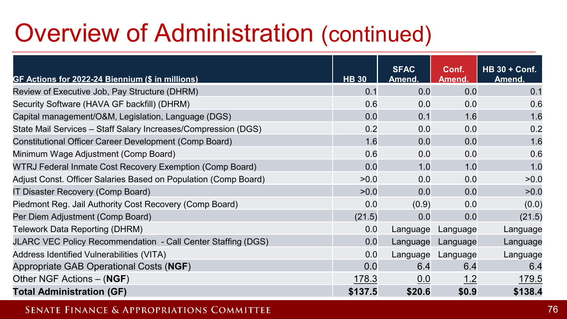### Overview of Administration (continued)

| GF Actions for 2022-24 Biennium (\$ in millions)                | <b>HB 30</b> | <b>SFAC</b><br>Amend. | Conf.<br>Amend. | <b>HB 30 + Conf.</b><br>Amend. |
|-----------------------------------------------------------------|--------------|-----------------------|-----------------|--------------------------------|
| Review of Executive Job, Pay Structure (DHRM)                   | 0.1          | 0.0                   | 0.0             | 0.1                            |
| Security Software (HAVA GF backfill) (DHRM)                     | 0.6          | 0.0                   | 0.0             | 0.6                            |
| Capital management/O&M, Legislation, Language (DGS)             | 0.0          | 0.1                   | 1.6             | 1.6                            |
| State Mail Services - Staff Salary Increases/Compression (DGS)  | 0.2          | 0.0                   | 0.0             | 0.2                            |
| Constitutional Officer Career Development (Comp Board)          | 1.6          | 0.0                   | 0.0             | 1.6                            |
| Minimum Wage Adjustment (Comp Board)                            | 0.6          | 0.0                   | 0.0             | 0.6                            |
| WTRJ Federal Inmate Cost Recovery Exemption (Comp Board)        | 0.0          | 1.0                   | 1.0             | 1.0                            |
| Adjust Const. Officer Salaries Based on Population (Comp Board) | >0.0         | 0.0                   | 0.0             | >0.0                           |
| IT Disaster Recovery (Comp Board)                               | >0.0         | 0.0                   | 0.0             | >0.0                           |
| Piedmont Reg. Jail Authority Cost Recovery (Comp Board)         | 0.0          | (0.9)                 | 0.0             | (0.0)                          |
| Per Diem Adjustment (Comp Board)                                | (21.5)       | 0.0                   | 0.0             | (21.5)                         |
| Telework Data Reporting (DHRM)                                  | 0.0          | Language              | Language        | Language                       |
| JLARC VEC Policy Recommendation - Call Center Staffing (DGS)    | 0.0          | Language              | Language        | Language                       |
| Address Identified Vulnerabilities (VITA)                       | 0.0          | Language              | Language        | Language                       |
| Appropriate GAB Operational Costs (NGF)                         | 0.0          | 6.4                   | 6.4             | 6.4                            |
| Other NGF Actions - (NGF)                                       | 178.3        | 0.0                   | <u>1.2</u>      | 179.5                          |
| <b>Total Administration (GF)</b>                                | \$137.5      | \$20.6                | \$0.9           | \$138.4                        |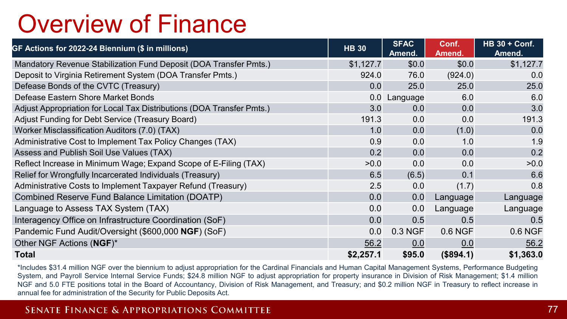### Overview of Finance

| GF Actions for 2022-24 Biennium (\$ in millions)                      | <b>HB 30</b> | <b>SFAC</b><br>Amend. | Conf.<br>Amend. | $HB 30 + Cont.$<br>Amend. |
|-----------------------------------------------------------------------|--------------|-----------------------|-----------------|---------------------------|
| Mandatory Revenue Stabilization Fund Deposit (DOA Transfer Pmts.)     | \$1,127.7    | \$0.0                 | \$0.0           | \$1,127.7                 |
| Deposit to Virginia Retirement System (DOA Transfer Pmts.)            | 924.0        | 76.0                  | (924.0)         | 0.0                       |
| Defease Bonds of the CVTC (Treasury)                                  | 0.0          | 25.0                  | 25.0            | 25.0                      |
| Defease Eastern Shore Market Bonds                                    | 0.0          | Language              | 6.0             | 6.0                       |
| Adjust Appropriation for Local Tax Distributions (DOA Transfer Pmts.) | 3.0          | 0.0                   | 0.0             | 3.0                       |
| Adjust Funding for Debt Service (Treasury Board)                      | 191.3        | 0.0                   | 0.0             | 191.3                     |
| Worker Misclassification Auditors (7.0) (TAX)                         | 1.0          | 0.0                   | (1.0)           | 0.0                       |
| Administrative Cost to Implement Tax Policy Changes (TAX)             | 0.9          | 0.0                   | 1.0             | 1.9                       |
| Assess and Publish Soil Use Values (TAX)                              | 0.2          | 0.0                   | 0.0             | 0.2                       |
| Reflect Increase in Minimum Wage; Expand Scope of E-Filing (TAX)      | >0.0         | 0.0                   | 0.0             | >0.0                      |
| Relief for Wrongfully Incarcerated Individuals (Treasury)             | 6.5          | (6.5)                 | 0.1             | 6.6                       |
| Administrative Costs to Implement Taxpayer Refund (Treasury)          | 2.5          | 0.0                   | (1.7)           | 0.8                       |
| <b>Combined Reserve Fund Balance Limitation (DOATP)</b>               | 0.0          | 0.0                   | Language        | Language                  |
| Language to Assess TAX System (TAX)                                   | 0.0          | 0.0                   | Language        | Language                  |
| Interagency Office on Infrastructure Coordination (SoF)               | 0.0          | 0.5                   | 0.5             | 0.5                       |
| Pandemic Fund Audit/Oversight (\$600,000 NGF) (SoF)                   | 0.0          | 0.3 NGF               | 0.6 NGF         | 0.6 NGF                   |
| Other NGF Actions (NGF)*                                              | 56.2         | 0.0                   | 0.0             | 56.2                      |
| <b>Total</b>                                                          | \$2,257.1    | \$95.0                | (\$894.1)       | \$1,363.0                 |

\*Includes \$31.4 million NGF over the biennium to adjust appropriation for the Cardinal Financials and Human Capital Management Systems, Performance Budgeting System, and Payroll Service Internal Service Funds; \$24.8 million NGF to adjust appropriation for property insurance in Division of Risk Management; \$1.4 million NGF and 5.0 FTE positions total in the Board of Accountancy, Division of Risk Management, and Treasury; and \$0.2 million NGF in Treasury to reflect increase in annual fee for administration of the Security for Public Deposits Act.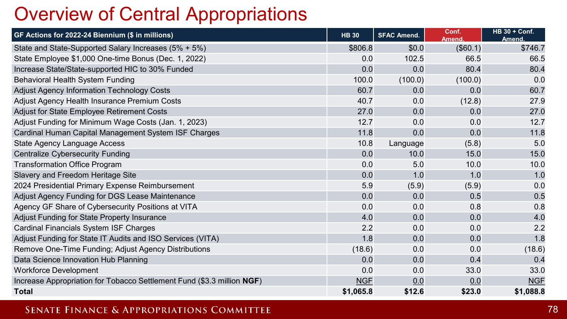### Overview of Central Appropriations

| GF Actions for 2022-24 Biennium (\$ in millions)                       | <b>HB 30</b> | <b>SFAC Amend.</b> | Conf.<br><b>Amend</b> | <b>HB 30 + Conf.</b><br><b>Amend</b> |
|------------------------------------------------------------------------|--------------|--------------------|-----------------------|--------------------------------------|
| State and State-Supported Salary Increases (5% + 5%)                   | \$806.8      | \$0.0              | (\$60.1)              | \$746.7                              |
| State Employee \$1,000 One-time Bonus (Dec. 1, 2022)                   | 0.0          | 102.5              | 66.5                  | 66.5                                 |
| Increase State/State-supported HIC to 30% Funded                       | 0.0          | 0.0                | 80.4                  | 80.4                                 |
| Behavioral Health System Funding                                       | 100.0        | (100.0)            | (100.0)               | 0.0                                  |
| Adjust Agency Information Technology Costs                             | 60.7         | 0.0                | 0.0                   | 60.7                                 |
| Adjust Agency Health Insurance Premium Costs                           | 40.7         | 0.0                | (12.8)                | 27.9                                 |
| Adjust for State Employee Retirement Costs                             | 27.0         | 0.0                | 0.0                   | 27.0                                 |
| Adjust Funding for Minimum Wage Costs (Jan. 1, 2023)                   | 12.7         | 0.0                | 0.0                   | 12.7                                 |
| Cardinal Human Capital Management System ISF Charges                   | 11.8         | 0.0                | 0.0                   | 11.8                                 |
| State Agency Language Access                                           | 10.8         | Language           | (5.8)                 | 5.0                                  |
| <b>Centralize Cybersecurity Funding</b>                                | 0.0          | 10.0               | 15.0                  | 15.0                                 |
| <b>Transformation Office Program</b>                                   | 0.0          | 5.0                | 10.0                  | 10.0                                 |
| Slavery and Freedom Heritage Site                                      | 0.0          | 1.0                | 1.0                   | 1.0                                  |
| 2024 Presidential Primary Expense Reimbursement                        | 5.9          | (5.9)              | (5.9)                 | 0.0                                  |
| Adjust Agency Funding for DGS Lease Maintenance                        | 0.0          | 0.0                | 0.5                   | 0.5                                  |
| Agency GF Share of Cybersecurity Positions at VITA                     | 0.0          | 0.0                | 0.8                   | 0.8                                  |
| Adjust Funding for State Property Insurance                            | 4.0          | 0.0                | 0.0                   | 4.0                                  |
| <b>Cardinal Financials System ISF Charges</b>                          | 2.2          | 0.0                | 0.0                   | 2.2                                  |
| Adjust Funding for State IT Audits and ISO Services (VITA)             | 1.8          | 0.0                | 0.0                   | 1.8                                  |
| Remove One-Time Funding; Adjust Agency Distributions                   | (18.6)       | 0.0                | 0.0                   | (18.6)                               |
| Data Science Innovation Hub Planning                                   | 0.0          | 0.0                | 0.4                   | 0.4                                  |
| <b>Workforce Development</b>                                           | 0.0          | 0.0                | 33.0                  | 33.0                                 |
| Increase Appropriation for Tobacco Settlement Fund (\$3.3 million NGF) | <b>NGF</b>   | 0.0                | 0.0                   | <b>NGF</b>                           |
| <b>Total</b>                                                           | \$1,065.8    | \$12.6             | \$23.0                | \$1,088.8                            |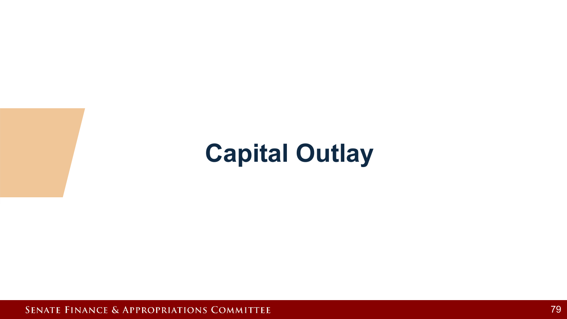## **Capital Outlay**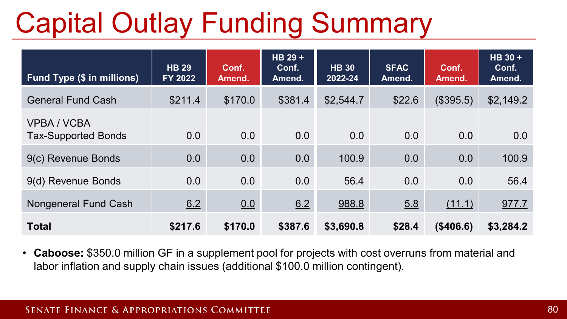# Capital Outlay Funding Summary

| <b>Fund Type (\$ in millions)</b>                | <b>HB 29</b><br>FY 2022 | Conf.<br>Amend. | HB 29 +<br>Conf.<br>Amend. | <b>HB 30</b><br>2022-24 | <b>SFAC</b><br>Amend. | Conf.<br>Amend. | $HB$ 30 +<br>Conf.<br>Amend. |
|--------------------------------------------------|-------------------------|-----------------|----------------------------|-------------------------|-----------------------|-----------------|------------------------------|
| <b>General Fund Cash</b>                         | \$211.4                 | \$170.0         | \$381.4                    | \$2,544.7               | \$22.6                | (\$395.5)       | \$2,149.2                    |
| <b>VPBA / VCBA</b><br><b>Tax-Supported Bonds</b> | 0.0                     | 0.0             | 0.0                        | 0.0                     | 0.0                   | 0.0             | 0.0                          |
| 9(c) Revenue Bonds                               | 0.0                     | 0.0             | 0.0                        | 100.9                   | 0.0                   | 0.0             | 100.9                        |
| 9(d) Revenue Bonds                               | 0.0                     | 0.0             | 0.0                        | 56.4                    | 0.0                   | 0.0             | 56.4                         |
| <b>Nongeneral Fund Cash</b>                      | 6.2                     | 0.0             | 6.2                        | 988.8                   | 5.8                   | (11.1)          | 977.7                        |
| <b>Total</b>                                     | \$217.6                 | \$170.0         | \$387.6                    | \$3,690.8               | \$28.4                | (\$406.6)       | \$3,284.2                    |

• **Caboose:** \$350.0 million GF in a supplement pool for projects with cost overruns from material and labor inflation and supply chain issues (additional \$100.0 million contingent).